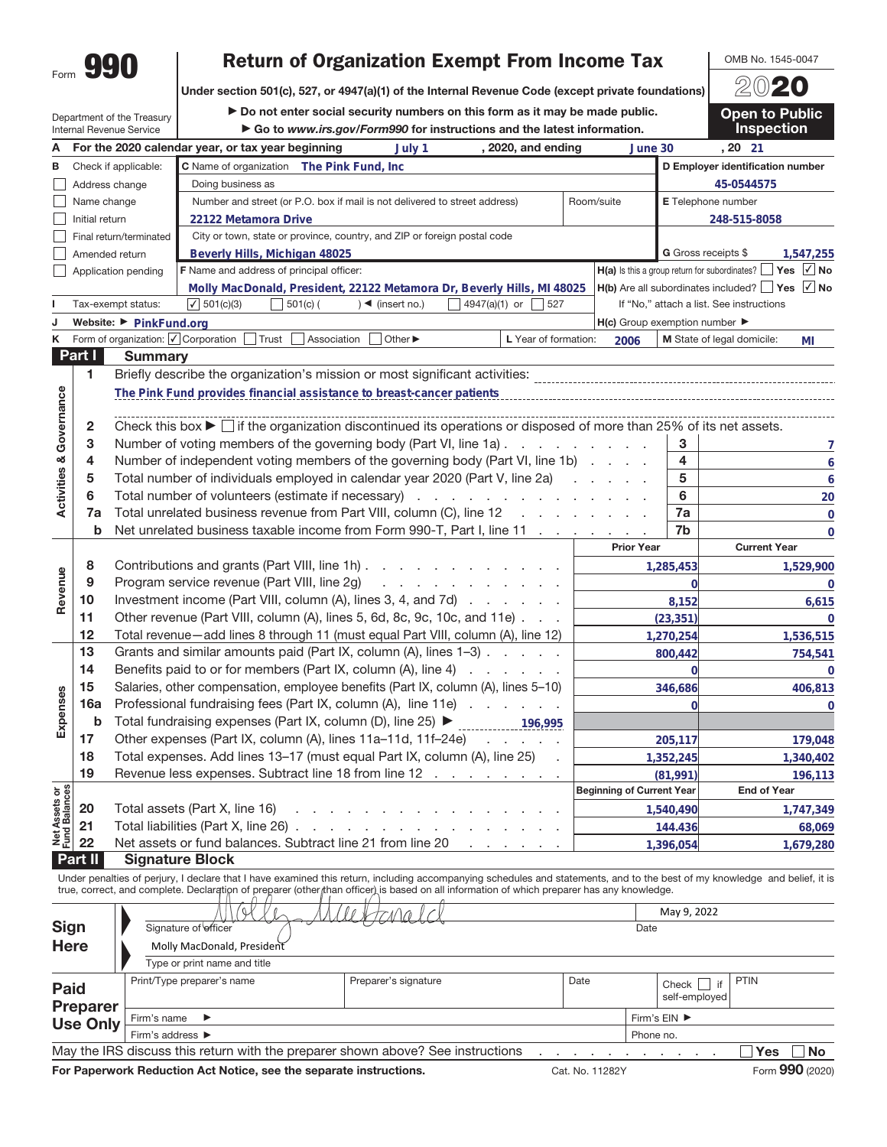Department of the Treasury

## **Return of Organization Exempt From Income Tax**<br>section 501(c), 527, or 4947(a)(1) of the Internal Revenue Code (except private foundations)  $\sqrt{\frac{20.20}{20.20}}$

**Return of Organization Exempt From Income Tax Under section 501(c), 527, or 4947(a)(1) of the Internal Revenue Code (except private foundations)**

▶ Do not enter social security numbers on this form as it may be made public.

▶ Go to *www.irs.gov/Form990* for instructions and the latest information.

Internal Revenue Service **A For the 2020 calendar year, or tax year beginning , 2020, and ending , 20 2020, and ending B** Check if applicable: **D Employer identification number C** Name of organization **The Pink Fund, Inc**  $\Box$ Address change Doing business as **45-0544575** Name change П Number and street (or P.O. box if mail is not delivered to street address) Room/suite **E** Telephone number Initial return **248-515-8058**  $\Box$ **22122 Metamora Drive** Final return/terminated City or town, state or province, country, and ZIP or foreign postal code П Amended return **Beverly Hills, Michigan 48025 G** Gross receipts \$ **1,547,255** П Application pending **F** Name and address of principal officer: **H(a)** Is this a group return for subordinates? ■ Yes ■ △ No **Molly MacDonald, President, 22122 Metamora Dr, Beverly Hills, MI 48025 H(b)** Are all subordinates included? **Yes √ No** Tax-exempt status:  $\boxed{\sqrt{501(c)(3)}}$  501(c) ( )  $\boxed{\phantom{0}}$  (insert no.)  $\boxed{\phantom{0}}$  4947(a)(1) or  $\boxed{\phantom{0}}$  527 If "No," attach a list. See instructions  $\sqrt{501(c)(3)}$ **H(c)** Group exemption number **J** Website: ▶ PinkFund.org **K** Form of organization:  $\sqrt{}$  Corporation  $\Box$  Trust  $\Box$  Association  $\Box$  Other ▶ **L** Year of formation: 2006 **M** State of legal domicile: MI **Part I Summary 1** Briefly describe the organization's mission or most significant activities: **Activities & Governance** Activities & Governance **The Pink Fund provides financial assistance to breast-cancer patients 2** Check this box  $\blacktriangleright \Box$  if the organization discontinued its operations or disposed of more than 25% of its net assets. **3** Number of voting members of the governing body (Part VI, line 1a) ......... **3 7 4** Number of independent voting members of the governing body (Part VI, line 1b) .... **4 6 5** Total number of individuals employed in calendar year 2020 (Part V, line 2a) ..... **5 6 6** Total number of volunteers (estimate if necessary) .............. **6 20 7 a** Total unrelated business revenue from Part VIII, column (C), line 12 ........ **7a 0 b** Net unrelated business taxable income from Form 990-T, Part I, line 11 ........ **0 Prior Year Current Year 8** Contributions and grants (Part VIII, line 1h) .......... **1,285,453 1,529,900** Revenue **Revenue 9** Program service revenue (Part VIII, line 2g) . . . . . . . . . . **0 0 10** Investment income (Part VIII, column (A), lines 3, 4, and 7d) ....... **8,152 6,615 11** Other revenue (Part VIII, column (A), lines 5, 6d, 8c, 9c, 10c, and 11e) . . . **(23,351) 0 12** Total revenue—add lines 8 through 11 (must equal Part VIII, column (A), line 12) **1,270,254 1,536,515 13** Grants and similar amounts paid (Part IX, column (A), lines 1-3) . . . . . **800,442 754,541 14** Benefits paid to or for members (Part IX, column (A), line 4) . . . . **0 0 15** Salaries, other compensation, employee benefits (Part IX, column (A), lines 5–10) **346,686 406,813** Expenses **Expenses 16a** Professional fundraising fees (Part IX, column (A), line 11e) . . . . . . . **0 0 b** Total fundraising expenses (Part IX, column (D), line 25) **D** 2001 2001 2001 2004 **17** Other expenses (Part IX, column (A), lines 11a–11d, 11f–24e) . . . . . **205,117 179,048 18** Total expenses. Add lines 13–17 (must equal Part IX, column (A), line 25) . **1,352,245 1,340,402 19** Revenue less expenses. Subtract line 18 from line 12 . . . . . **(81,991) 196,113** t Assets or<br>d Balances **Beginning of Current Year End of Year Net Assets or Fund Balances 20** Total assets (Part X, line 16) . . . **1,540,490 1,747,349 21** Total liabilities (Part X, line 26). **144.436 68,069** Net J<br>Fund **22** Net assets or fund balances. Subtract line 21 from line 20 **1,396,054 1,679,280 Part II Signature Block**

Under penalties of perjury, I declare that I have examined this return, including accompanying schedules and statements, and to the best of my knowledge and belief, it is true, correct, and complete. Declaration of preparer (other than officer) is based on all information of which preparer has any knowledge.

|                                |                                                                                                     |              |  |                                | May 9, 2022 |        |  |  |  |  |  |
|--------------------------------|-----------------------------------------------------------------------------------------------------|--------------|--|--------------------------------|-------------|--------|--|--|--|--|--|
| <b>Sign</b>                    | Signature of officer                                                                                |              |  |                                |             |        |  |  |  |  |  |
| <b>Here</b>                    | Molly MacDonald, President                                                                          |              |  |                                |             |        |  |  |  |  |  |
|                                | Type or print name and title                                                                        |              |  |                                |             |        |  |  |  |  |  |
| <b>Paid</b><br><b>Preparer</b> | Print/Type preparer's name                                                                          | Date         |  | if<br>Check  <br>self-employed | <b>PTIN</b> |        |  |  |  |  |  |
| <b>Use Only</b>                | Firm's name $\blacktriangleright$                                                                   | Firm's EIN ▶ |  |                                |             |        |  |  |  |  |  |
|                                | Firm's address ▶                                                                                    |              |  | Phone no.                      |             |        |  |  |  |  |  |
|                                | May the IRS discuss this return with the preparer shown above? See instructions<br>Yes<br><b>No</b> |              |  |                                |             |        |  |  |  |  |  |
|                                |                                                                                                     |              |  |                                |             | $\sim$ |  |  |  |  |  |

**For Paperwork Reduction Act Notice, see the separate instructions.** Cat. No. 11282Y Form 990 (2020)

**Open to Public** 

**Inspection**

|  | OMB No. 1545-0047 |
|--|-------------------|
|  |                   |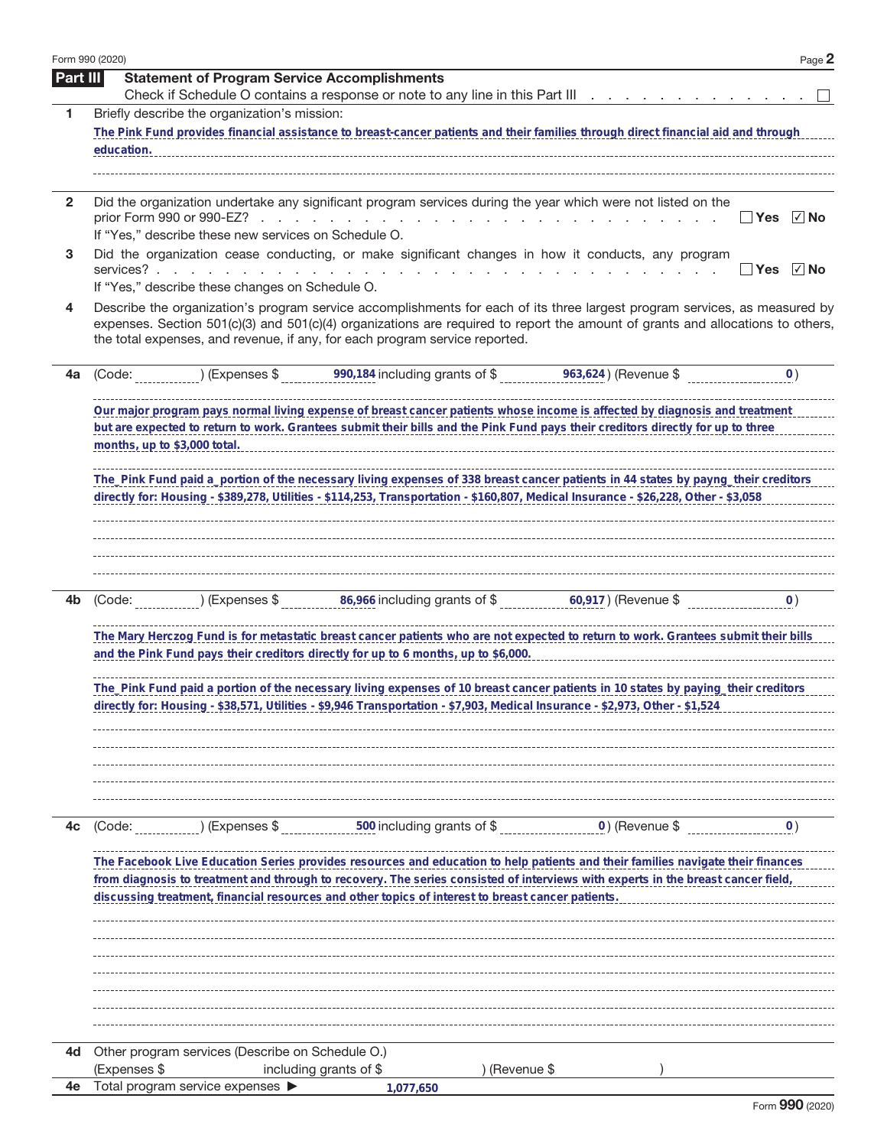|              | Form 990 (2020) |                                                      |                                                                                                                                                                                                                                                                                                                                             | Page 2                |
|--------------|-----------------|------------------------------------------------------|---------------------------------------------------------------------------------------------------------------------------------------------------------------------------------------------------------------------------------------------------------------------------------------------------------------------------------------------|-----------------------|
| Part III     |                 | <b>Statement of Program Service Accomplishments</b>  | Check if Schedule O contains a response or note to any line in this Part III                                                                                                                                                                                                                                                                |                       |
| 1            |                 | Briefly describe the organization's mission:         |                                                                                                                                                                                                                                                                                                                                             |                       |
|              |                 |                                                      | The Pink Fund provides financial assistance to breast-cancer patients and their families through direct financial aid and through                                                                                                                                                                                                           |                       |
|              | education.      |                                                      |                                                                                                                                                                                                                                                                                                                                             |                       |
|              |                 |                                                      |                                                                                                                                                                                                                                                                                                                                             |                       |
| $\mathbf{2}$ |                 | If "Yes," describe these new services on Schedule O. | Did the organization undertake any significant program services during the year which were not listed on the<br>prior Form 990 or 990-EZ?                                                                                                                                                                                                   | √ No<br><b>Yes</b>    |
| 3            | services?       | If "Yes," describe these changes on Schedule O.      | Did the organization cease conducting, or make significant changes in how it conducts, any program                                                                                                                                                                                                                                          | $\sqrt{ }$ No<br>∣Yes |
| 4            |                 |                                                      | Describe the organization's program service accomplishments for each of its three largest program services, as measured by<br>expenses. Section 501(c)(3) and 501(c)(4) organizations are required to report the amount of grants and allocations to others,<br>the total expenses, and revenue, if any, for each program service reported. |                       |
| 4a           | (Code:          |                                                      | $(1)$ (Expenses \$90,184 including grants of \$963,624) (Revenue \$                                                                                                                                                                                                                                                                         | $\overline{O}$ )      |
|              |                 |                                                      | Our major program pays normal living expense of breast cancer patients whose income is affected by diagnosis and treatment<br>but are expected to return to work. Grantees submit their bills and the Pink Fund pays their creditors directly for up to three                                                                               |                       |
|              |                 |                                                      | The_Pink Fund paid a_portion of the necessary living expenses of 338 breast cancer patients in 44 states by payng_their creditors<br>directly for: Housing - \$389,278, Utilities - \$114,253, Transportation - \$160,807, Medical Insurance - \$26,228, Other - \$3,058                                                                    |                       |
|              |                 |                                                      |                                                                                                                                                                                                                                                                                                                                             |                       |
| 4b           |                 |                                                      |                                                                                                                                                                                                                                                                                                                                             | $\overline{0}$ )      |
|              |                 |                                                      | The Mary Herczog Fund is for metastatic breast cancer patients who are not expected to return to work. Grantees submit their bills<br>and the Pink Fund pays their creditors directly for up to 6 months, up to \$6,000.                                                                                                                    |                       |
|              |                 |                                                      | The_Pink Fund paid a portion of the necessary living expenses of 10 breast cancer patients in 10 states by paying_their creditors<br>directly for: Housing - \$38,571, Utilities - \$9,946 Transportation - \$7,903, Medical Insurance - \$2,973, Other - \$1,524                                                                           |                       |
|              |                 |                                                      |                                                                                                                                                                                                                                                                                                                                             |                       |
| 4c           | (Code:          |                                                      | (Expenses $\frac{1}{2}$ , $\frac{500}{2}$ including grants of $\frac{1}{2}$ , $\frac{1}{2}$ , $\frac{1}{2}$ (Revenue $\frac{1}{2}$ )                                                                                                                                                                                                        | $\vert 0 \rangle$     |
|              |                 |                                                      | The Facebook Live Education Series provides resources and education to help patients and their families navigate their finances<br>from diagnosis to treatment and through to recovery. The series consisted of interviews with experts in the breast cancer field,                                                                         |                       |
|              |                 |                                                      | discussing treatment, financial resources and other topics of interest to breast cancer patients.                                                                                                                                                                                                                                           |                       |
|              |                 |                                                      |                                                                                                                                                                                                                                                                                                                                             |                       |
|              |                 |                                                      |                                                                                                                                                                                                                                                                                                                                             |                       |
|              |                 |                                                      |                                                                                                                                                                                                                                                                                                                                             |                       |
| 4d           | (Expenses \$    | Other program services (Describe on Schedule O.)     | including grants of \$<br>) (Revenue \$                                                                                                                                                                                                                                                                                                     |                       |
| 4е           |                 | Total program service expenses ▶                     | 1,077,650                                                                                                                                                                                                                                                                                                                                   |                       |
|              |                 |                                                      |                                                                                                                                                                                                                                                                                                                                             |                       |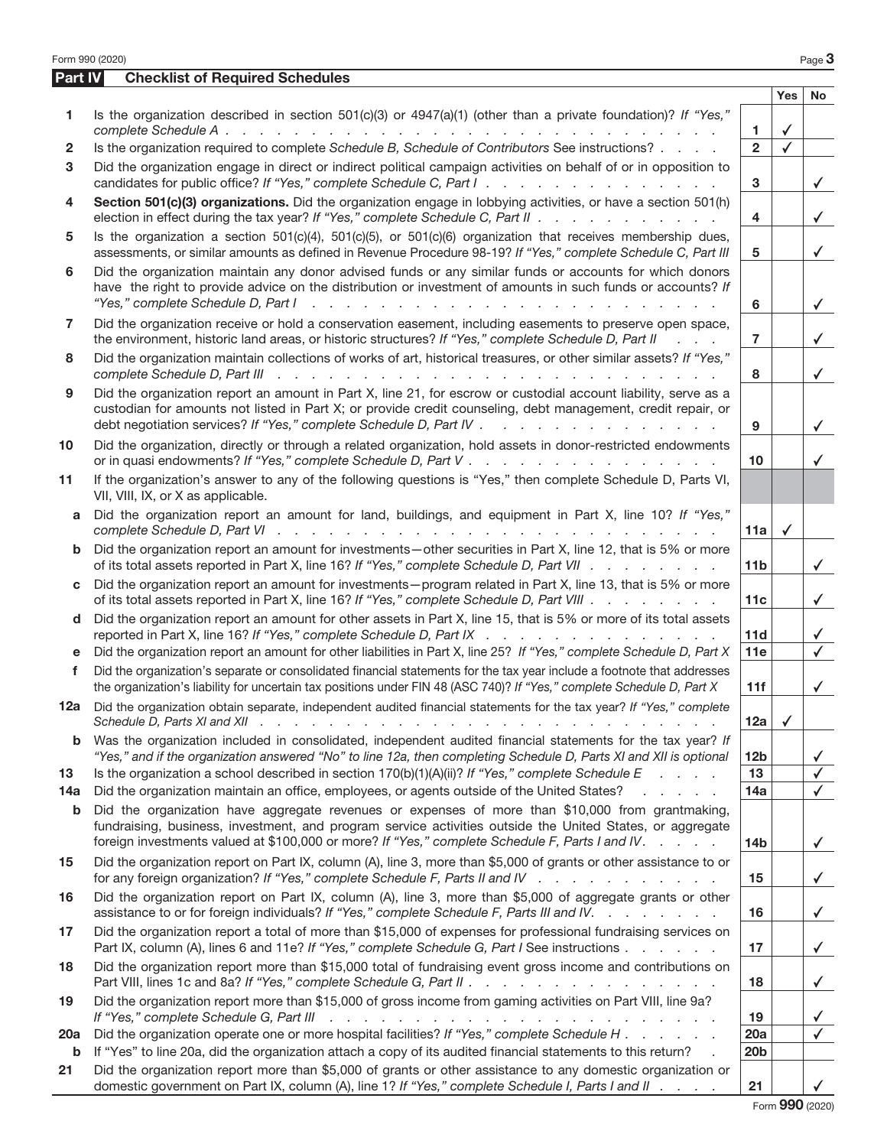|            | Form 990 (2020)                                                                                                                                                                                                                                                                                                  |                 |              | Page 3       |
|------------|------------------------------------------------------------------------------------------------------------------------------------------------------------------------------------------------------------------------------------------------------------------------------------------------------------------|-----------------|--------------|--------------|
| Part IV    | <b>Checklist of Required Schedules</b>                                                                                                                                                                                                                                                                           |                 |              |              |
|            |                                                                                                                                                                                                                                                                                                                  |                 | <b>Yes</b>   | No           |
| 1          | Is the organization described in section 501(c)(3) or 4947(a)(1) (other than a private foundation)? If "Yes,"                                                                                                                                                                                                    | 1.              | ✓            |              |
| 2          | Is the organization required to complete Schedule B, Schedule of Contributors See instructions?                                                                                                                                                                                                                  | $\overline{2}$  |              |              |
| 3          | Did the organization engage in direct or indirect political campaign activities on behalf of or in opposition to                                                                                                                                                                                                 |                 |              |              |
|            | candidates for public office? If "Yes," complete Schedule C, Part I.                                                                                                                                                                                                                                             | 3               |              | $\checkmark$ |
| 4          | Section 501(c)(3) organizations. Did the organization engage in lobbying activities, or have a section 501(h)<br>election in effect during the tax year? If "Yes," complete Schedule C, Part II                                                                                                                  | 4               |              | $\checkmark$ |
| 5          | Is the organization a section $501(c)(4)$ , $501(c)(5)$ , or $501(c)(6)$ organization that receives membership dues,<br>assessments, or similar amounts as defined in Revenue Procedure 98-19? If "Yes," complete Schedule C, Part III                                                                           | 5               |              | $\checkmark$ |
| 6          | Did the organization maintain any donor advised funds or any similar funds or accounts for which donors<br>have the right to provide advice on the distribution or investment of amounts in such funds or accounts? If<br>"Yes," complete Schedule D, Part I<br>and the contract of the contract of the          | 6               |              | $\checkmark$ |
| 7          | Did the organization receive or hold a conservation easement, including easements to preserve open space,<br>the environment, historic land areas, or historic structures? If "Yes," complete Schedule D, Part II<br>$\mathbf{r} = \mathbf{r} - \mathbf{r}$                                                      | $\overline{7}$  |              | $\checkmark$ |
| 8          | Did the organization maintain collections of works of art, historical treasures, or other similar assets? If "Yes,"                                                                                                                                                                                              | 8               |              | $\checkmark$ |
| 9          | Did the organization report an amount in Part X, line 21, for escrow or custodial account liability, serve as a<br>custodian for amounts not listed in Part X; or provide credit counseling, debt management, credit repair, or<br>debt negotiation services? If "Yes," complete Schedule D, Part IV             | 9               |              | $\checkmark$ |
| 10         | Did the organization, directly or through a related organization, hold assets in donor-restricted endowments                                                                                                                                                                                                     | 10              |              | ✓            |
| 11         | If the organization's answer to any of the following questions is "Yes," then complete Schedule D, Parts VI,<br>VII, VIII, IX, or X as applicable.                                                                                                                                                               |                 |              |              |
| a          | Did the organization report an amount for land, buildings, and equipment in Part X, line 10? If "Yes,"                                                                                                                                                                                                           | 11a             | $\checkmark$ |              |
| b          | Did the organization report an amount for investments-other securities in Part X, line 12, that is 5% or more<br>of its total assets reported in Part X, line 16? If "Yes," complete Schedule D, Part VII                                                                                                        | 11 <sub>b</sub> |              | $\checkmark$ |
| C          | Did the organization report an amount for investments - program related in Part X, line 13, that is 5% or more<br>of its total assets reported in Part X, line 16? If "Yes," complete Schedule D, Part VIII                                                                                                      | 11c             |              | $\checkmark$ |
| d          | Did the organization report an amount for other assets in Part X, line 15, that is 5% or more of its total assets<br>reported in Part X, line 16? If "Yes," complete Schedule D, Part IX                                                                                                                         | 11d             |              | $\checkmark$ |
| е          | Did the organization report an amount for other liabilities in Part X, line 25? If "Yes," complete Schedule D, Part X                                                                                                                                                                                            | 11e             |              | $\checkmark$ |
| f          | Did the organization's separate or consolidated financial statements for the tax year include a footnote that addresses<br>the organization's liability for uncertain tax positions under FIN 48 (ASC 740)? If "Yes," complete Schedule D, Part X                                                                | 11f             |              | $\checkmark$ |
| 12a        | Did the organization obtain separate, independent audited financial statements for the tax year? If "Yes," complete<br>Schedule D, Parts XI and XII $\cdots$ $\cdots$ $\cdots$ $\cdots$ $\cdots$ $\cdots$ $\cdots$ $\cdots$ $\cdots$                                                                             | 12a             | ✓            |              |
| b          | Was the organization included in consolidated, independent audited financial statements for the tax year? If<br>"Yes," and if the organization answered "No" to line 12a, then completing Schedule D, Parts XI and XII is optional                                                                               | 12 <sub>b</sub> |              | ✓            |
| 13         | Is the organization a school described in section $170(b)(1)(A)(ii)?$ If "Yes," complete Schedule E<br>and a state of                                                                                                                                                                                            | 13              |              | $\checkmark$ |
| 14a        | Did the organization maintain an office, employees, or agents outside of the United States?                                                                                                                                                                                                                      | 14a             |              | $\checkmark$ |
| b          | Did the organization have aggregate revenues or expenses of more than \$10,000 from grantmaking,<br>fundraising, business, investment, and program service activities outside the United States, or aggregate<br>foreign investments valued at \$100,000 or more? If "Yes," complete Schedule F, Parts I and IV. | 14 <sub>b</sub> |              | $\checkmark$ |
| 15         | Did the organization report on Part IX, column (A), line 3, more than \$5,000 of grants or other assistance to or<br>for any foreign organization? If "Yes," complete Schedule F, Parts II and IV                                                                                                                | 15              |              | $\checkmark$ |
| 16         | Did the organization report on Part IX, column (A), line 3, more than \$5,000 of aggregate grants or other<br>assistance to or for foreign individuals? If "Yes," complete Schedule F, Parts III and IV.                                                                                                         | 16              |              | $\checkmark$ |
| 17         | Did the organization report a total of more than \$15,000 of expenses for professional fundraising services on<br>Part IX, column (A), lines 6 and 11e? If "Yes," complete Schedule G, Part I See instructions                                                                                                   | 17              |              | $\checkmark$ |
| 18         | Did the organization report more than \$15,000 total of fundraising event gross income and contributions on<br>Part VIII, lines 1c and 8a? If "Yes," complete Schedule G, Part II                                                                                                                                | 18              |              | $\checkmark$ |
| 19         | Did the organization report more than \$15,000 of gross income from gaming activities on Part VIII, line 9a?<br>If "Yes," complete Schedule G, Part III<br>والمتحاول والمتحاول والمتحاول والمتحاول والمتحاول والمتحاول والمتحاول والمتحاول                                                                       | 19              |              | ✓            |
| <b>20a</b> | Did the organization operate one or more hospital facilities? If "Yes," complete Schedule H                                                                                                                                                                                                                      | 20a             |              | $\checkmark$ |
| b          | If "Yes" to line 20a, did the organization attach a copy of its audited financial statements to this return?                                                                                                                                                                                                     | 20 <sub>b</sub> |              |              |
| 21         | Did the organization report more than \$5,000 of grants or other assistance to any domestic organization or<br>domestic government on Part IX, column (A), line 1? If "Yes," complete Schedule I, Parts I and II                                                                                                 | 21              |              |              |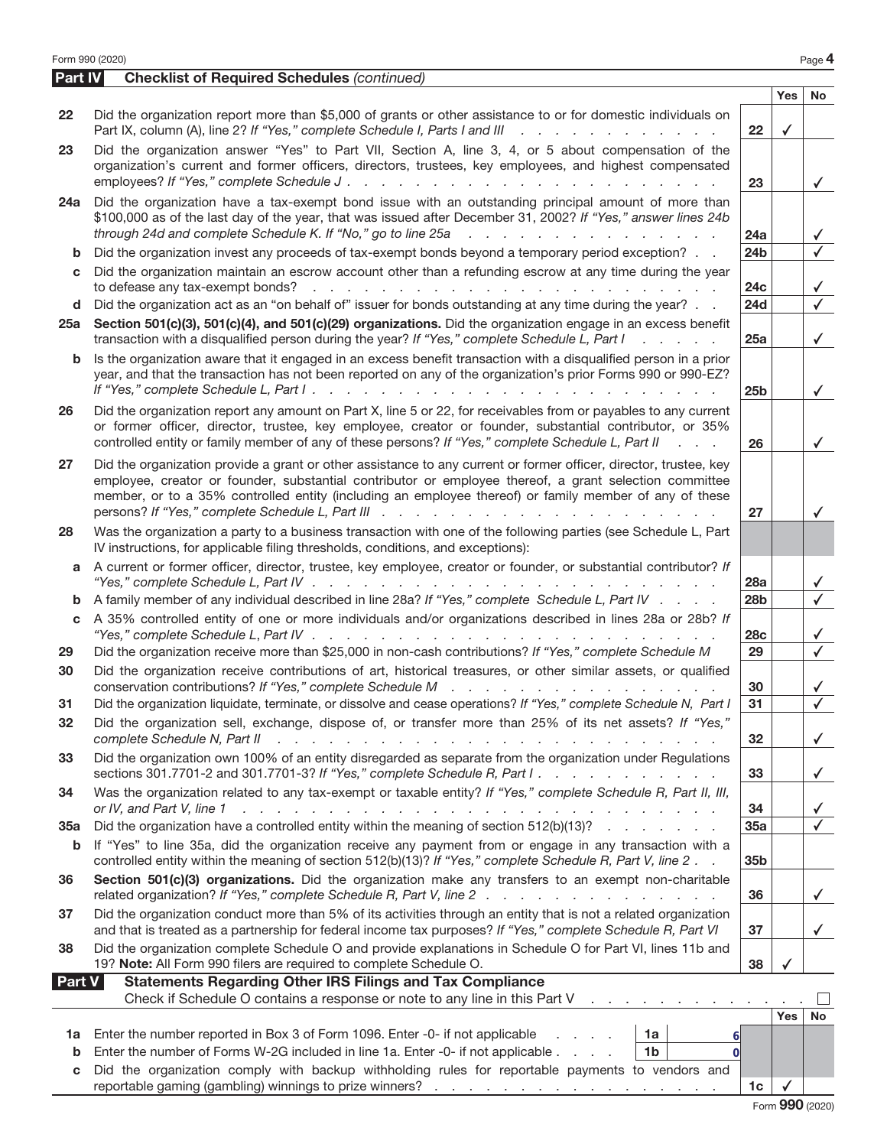|         | Form 990 (2020)                                                                                                                                                                                                                                                                                                                                       |                       |              | Page 4                       |
|---------|-------------------------------------------------------------------------------------------------------------------------------------------------------------------------------------------------------------------------------------------------------------------------------------------------------------------------------------------------------|-----------------------|--------------|------------------------------|
| Part IV | <b>Checklist of Required Schedules (continued)</b>                                                                                                                                                                                                                                                                                                    |                       |              |                              |
|         |                                                                                                                                                                                                                                                                                                                                                       |                       | <b>Yes</b>   | <b>No</b>                    |
| 22      | Did the organization report more than \$5,000 of grants or other assistance to or for domestic individuals on<br>Part IX, column (A), line 2? If "Yes," complete Schedule I, Parts I and III<br>and a straightful and a straight and                                                                                                                  | $22 \,$               | $\checkmark$ |                              |
| 23      | Did the organization answer "Yes" to Part VII, Section A, line 3, 4, or 5 about compensation of the<br>organization's current and former officers, directors, trustees, key employees, and highest compensated<br>employees? If "Yes," complete Schedule J.<br>and the company of the company of the                                                  | 23                    |              | $\checkmark$                 |
| 24a     | Did the organization have a tax-exempt bond issue with an outstanding principal amount of more than<br>\$100,000 as of the last day of the year, that was issued after December 31, 2002? If "Yes," answer lines 24b<br>through 24d and complete Schedule K. If "No," go to line 25a<br>والمتعادل والمتعاد والمتعاد والمتعاد والمتعاد                 | 24a                   |              | $\checkmark$                 |
| b       | Did the organization invest any proceeds of tax-exempt bonds beyond a temporary period exception?                                                                                                                                                                                                                                                     | 24 <sub>b</sub>       |              | $\checkmark$                 |
| c       | Did the organization maintain an escrow account other than a refunding escrow at any time during the year                                                                                                                                                                                                                                             | 24c                   |              | $\checkmark$                 |
| d       | Did the organization act as an "on behalf of" issuer for bonds outstanding at any time during the year?                                                                                                                                                                                                                                               | 24d                   |              | $\overline{\checkmark}$      |
| 25a     | Section 501(c)(3), 501(c)(4), and 501(c)(29) organizations. Did the organization engage in an excess benefit<br>transaction with a disqualified person during the year? If "Yes," complete Schedule L, Part I<br>$1 - 1 - 1 = 1 - 1$                                                                                                                  | 25a                   |              | $\checkmark$                 |
| b       | Is the organization aware that it engaged in an excess benefit transaction with a disqualified person in a prior<br>year, and that the transaction has not been reported on any of the organization's prior Forms 990 or 990-EZ?                                                                                                                      | 25 <sub>b</sub>       |              | $\checkmark$                 |
| 26      | Did the organization report any amount on Part X, line 5 or 22, for receivables from or payables to any current<br>or former officer, director, trustee, key employee, creator or founder, substantial contributor, or 35%<br>controlled entity or family member of any of these persons? If "Yes," complete Schedule L, Part II<br><b>Contractor</b> | 26                    |              | $\checkmark$                 |
| 27      | Did the organization provide a grant or other assistance to any current or former officer, director, trustee, key<br>employee, creator or founder, substantial contributor or employee thereof, a grant selection committee<br>member, or to a 35% controlled entity (including an employee thereof) or family member of any of these                 | 27                    |              | $\checkmark$                 |
| 28      | Was the organization a party to a business transaction with one of the following parties (see Schedule L, Part<br>IV instructions, for applicable filing thresholds, conditions, and exceptions):                                                                                                                                                     |                       |              |                              |
| a       | A current or former officer, director, trustee, key employee, creator or founder, or substantial contributor? If                                                                                                                                                                                                                                      |                       |              |                              |
|         | "Yes," complete Schedule L, Part IV $\ldots$ , $\ldots$ , $\ldots$ , $\ldots$ , $\ldots$ , $\ldots$                                                                                                                                                                                                                                                   | 28a                   |              | $\checkmark$                 |
| b       | A family member of any individual described in line 28a? If "Yes," complete Schedule L, Part IV                                                                                                                                                                                                                                                       | 28 <sub>b</sub>       |              | $\sqrt{ }$                   |
| c       | A 35% controlled entity of one or more individuals and/or organizations described in lines 28a or 28b? If                                                                                                                                                                                                                                             |                       |              |                              |
|         | "Yes," complete Schedule L, Part IV $\ldots$ , $\ldots$ , $\ldots$ , $\ldots$ , $\ldots$ , $\ldots$ , $\ldots$                                                                                                                                                                                                                                        | <b>28c</b><br>29      |              | $\checkmark$<br>$\checkmark$ |
| 29      | Did the organization receive more than \$25,000 in non-cash contributions? If "Yes," complete Schedule M                                                                                                                                                                                                                                              |                       |              |                              |
| 30      | Did the organization receive contributions of art, historical treasures, or other similar assets, or qualified<br>conservation contributions? If "Yes," complete Schedule M                                                                                                                                                                           | 30<br>$\overline{31}$ |              |                              |
| 31      | Did the organization liquidate, terminate, or dissolve and cease operations? If "Yes," complete Schedule N, Part I                                                                                                                                                                                                                                    |                       |              | $\checkmark$                 |
| 32      | Did the organization sell, exchange, dispose of, or transfer more than 25% of its net assets? If "Yes,"<br>complete Schedule N, Part II                                                                                                                                                                                                               | 32                    |              | $\checkmark$                 |
| 33      | Did the organization own 100% of an entity disregarded as separate from the organization under Regulations<br>sections 301.7701-2 and 301.7701-3? If "Yes," complete Schedule R, Part I.                                                                                                                                                              | 33                    |              | $\checkmark$                 |
| 34      | Was the organization related to any tax-exempt or taxable entity? If "Yes," complete Schedule R, Part II, III,<br>or IV, and Part V, line 1<br>والمتعاون والمتعاون والمتعاون والمتعاون والمتعاونة والمتعاونة والمتعاونة والمتعاونة والمتعاونة والمتعاونة                                                                                              | 34                    |              | $\checkmark$                 |
| 35a     | Did the organization have a controlled entity within the meaning of section 512(b)(13)?                                                                                                                                                                                                                                                               | 35a                   |              | $\checkmark$                 |
| b       | If "Yes" to line 35a, did the organization receive any payment from or engage in any transaction with a<br>controlled entity within the meaning of section 512(b)(13)? If "Yes," complete Schedule R, Part V, line 2.                                                                                                                                 | 35b                   |              |                              |
| 36      | Section 501(c)(3) organizations. Did the organization make any transfers to an exempt non-charitable<br>related organization? If "Yes," complete Schedule R, Part V, line 2                                                                                                                                                                           | 36                    |              | $\checkmark$                 |
| 37      | Did the organization conduct more than 5% of its activities through an entity that is not a related organization<br>and that is treated as a partnership for federal income tax purposes? If "Yes," complete Schedule R, Part VI                                                                                                                      | 37                    |              | $\checkmark$                 |
| 38      | Did the organization complete Schedule O and provide explanations in Schedule O for Part VI, lines 11b and<br>19? Note: All Form 990 filers are required to complete Schedule O.                                                                                                                                                                      | 38                    |              |                              |
| Part V  | <b>Statements Regarding Other IRS Filings and Tax Compliance</b>                                                                                                                                                                                                                                                                                      |                       |              |                              |
|         | Check if Schedule O contains a response or note to any line in this Part V                                                                                                                                                                                                                                                                            |                       | <b>Yes</b>   | No                           |
| 1a      | Enter the number reported in Box 3 of Form 1096. Enter -0- if not applicable<br>1a                                                                                                                                                                                                                                                                    |                       |              |                              |
| b       | 6<br>Enter the number of Forms W-2G included in line 1a. Enter -0- if not applicable<br>1 <sub>b</sub><br>$\Omega$                                                                                                                                                                                                                                    |                       |              |                              |
| C       | Did the organization comply with backup withholding rules for reportable payments to vendors and                                                                                                                                                                                                                                                      |                       |              |                              |
|         |                                                                                                                                                                                                                                                                                                                                                       | 1c                    | $\checkmark$ |                              |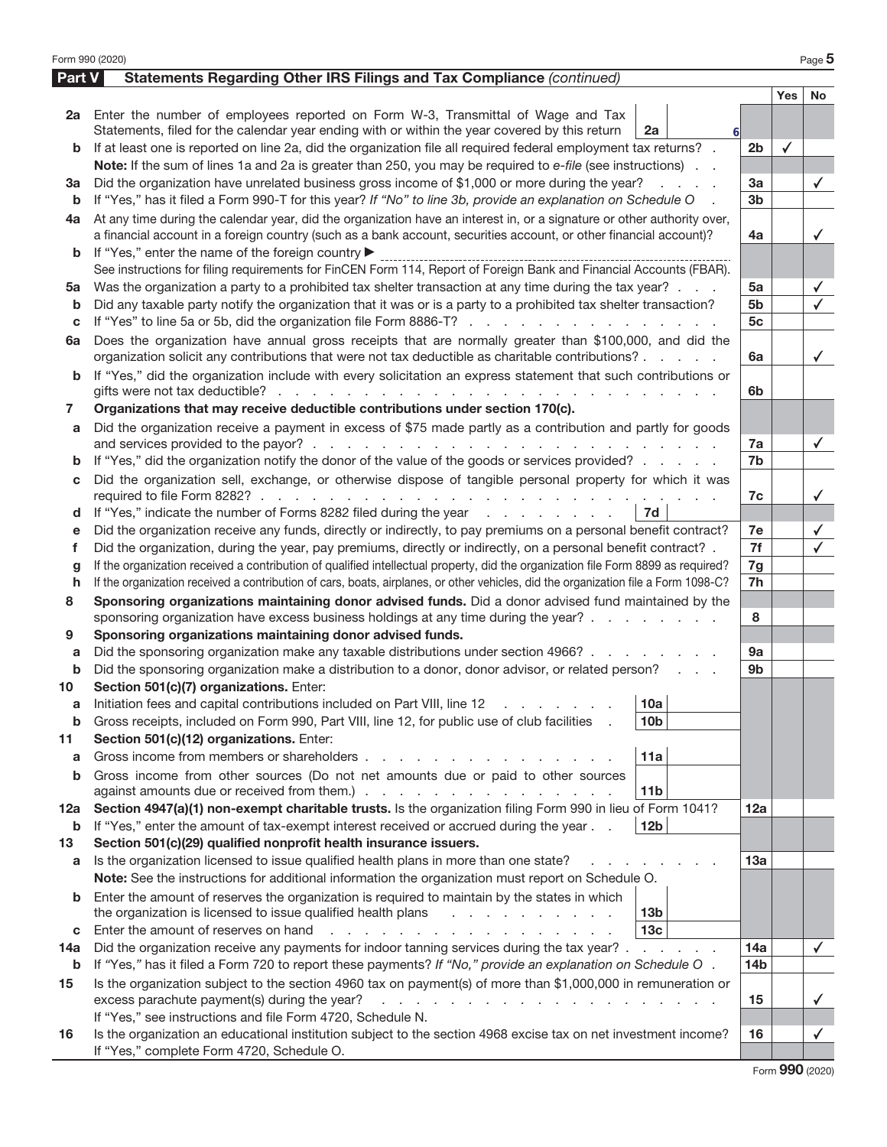| Form 990 (2020) |                                                                                                                                                                                                                                  |                 |              | Page 5       |
|-----------------|----------------------------------------------------------------------------------------------------------------------------------------------------------------------------------------------------------------------------------|-----------------|--------------|--------------|
| Part V          | Statements Regarding Other IRS Filings and Tax Compliance (continued)                                                                                                                                                            |                 |              |              |
|                 |                                                                                                                                                                                                                                  |                 | <b>Yes</b>   | No           |
|                 | 2a Enter the number of employees reported on Form W-3, Transmittal of Wage and Tax                                                                                                                                               |                 |              |              |
|                 | Statements, filed for the calendar year ending with or within the year covered by this return<br>2a                                                                                                                              |                 |              |              |
| b               | If at least one is reported on line 2a, did the organization file all required federal employment tax returns? .                                                                                                                 | 2 <sub>b</sub>  | $\checkmark$ |              |
|                 | Note: If the sum of lines 1a and 2a is greater than 250, you may be required to e-file (see instructions).                                                                                                                       |                 |              |              |
| За              | Did the organization have unrelated business gross income of \$1,000 or more during the year?                                                                                                                                    | 3a              |              | $\checkmark$ |
| b               | If "Yes," has it filed a Form 990-T for this year? If "No" to line 3b, provide an explanation on Schedule O                                                                                                                      | 3 <sub>b</sub>  |              |              |
| 4a              | At any time during the calendar year, did the organization have an interest in, or a signature or other authority over,                                                                                                          |                 |              |              |
|                 | a financial account in a foreign country (such as a bank account, securities account, or other financial account)?                                                                                                               | 4a              |              | ✓            |
| b               | If "Yes," enter the name of the foreign country ▶                                                                                                                                                                                |                 |              |              |
|                 | See instructions for filing requirements for FinCEN Form 114, Report of Foreign Bank and Financial Accounts (FBAR).                                                                                                              |                 |              |              |
| 5a              | Was the organization a party to a prohibited tax shelter transaction at any time during the tax year?                                                                                                                            | 5a              |              | ✓            |
| b               | Did any taxable party notify the organization that it was or is a party to a prohibited tax shelter transaction?                                                                                                                 | 5b              |              | ✓            |
| С               | If "Yes" to line 5a or 5b, did the organization file Form 8886-T?                                                                                                                                                                | 5 <sub>c</sub>  |              |              |
| 6a              | Does the organization have annual gross receipts that are normally greater than \$100,000, and did the                                                                                                                           |                 |              |              |
|                 | organization solicit any contributions that were not tax deductible as charitable contributions?                                                                                                                                 | 6a              |              | $\checkmark$ |
| b               | If "Yes," did the organization include with every solicitation an express statement that such contributions or                                                                                                                   |                 |              |              |
|                 | gifts were not tax deductible? $\cdots$ $\cdots$ $\cdots$ $\cdots$ $\cdots$ $\cdots$ $\cdots$ $\cdots$                                                                                                                           | 6b              |              |              |
| 7               | Organizations that may receive deductible contributions under section 170(c).                                                                                                                                                    |                 |              |              |
| a               | Did the organization receive a payment in excess of \$75 made partly as a contribution and partly for goods                                                                                                                      |                 |              |              |
|                 |                                                                                                                                                                                                                                  | 7a              |              | $\checkmark$ |
| b               | If "Yes," did the organization notify the donor of the value of the goods or services provided?                                                                                                                                  | 7b              |              |              |
| с               | Did the organization sell, exchange, or otherwise dispose of tangible personal property for which it was                                                                                                                         |                 |              |              |
|                 |                                                                                                                                                                                                                                  | 7c              |              | ✓            |
| d               | If "Yes," indicate the number of Forms 8282 filed during the year<br>7d                                                                                                                                                          |                 |              |              |
| е               | Did the organization receive any funds, directly or indirectly, to pay premiums on a personal benefit contract?                                                                                                                  | 7e              |              | ✓            |
| f               | Did the organization, during the year, pay premiums, directly or indirectly, on a personal benefit contract? .                                                                                                                   | 7f              |              | ✓            |
| g               | If the organization received a contribution of qualified intellectual property, did the organization file Form 8899 as required?                                                                                                 | 7g              |              |              |
| h               | If the organization received a contribution of cars, boats, airplanes, or other vehicles, did the organization file a Form 1098-C?                                                                                               | 7h              |              |              |
| 8               | Sponsoring organizations maintaining donor advised funds. Did a donor advised fund maintained by the                                                                                                                             |                 |              |              |
|                 | sponsoring organization have excess business holdings at any time during the year?                                                                                                                                               | 8               |              |              |
| 9               | Sponsoring organizations maintaining donor advised funds.                                                                                                                                                                        |                 |              |              |
| а               | Did the sponsoring organization make any taxable distributions under section 4966?                                                                                                                                               | 9a              |              |              |
| b               | Did the sponsoring organization make a distribution to a donor, donor advisor, or related person?                                                                                                                                | 9b              |              |              |
| 10              | Section 501(c)(7) organizations. Enter:                                                                                                                                                                                          |                 |              |              |
|                 | 10a <br>Initiation fees and capital contributions included on Part VIII, line 12 \[matter cases and capital contributions included on Part VIII, line 12 \[matter cases and capital contributions included on Part VIII, line 12 |                 |              |              |
| b               | Gross receipts, included on Form 990, Part VIII, line 12, for public use of club facilities<br>10 <sub>b</sub>                                                                                                                   |                 |              |              |
| 11              | Section 501(c)(12) organizations. Enter:                                                                                                                                                                                         |                 |              |              |
| a               | Gross income from members or shareholders.<br>11a                                                                                                                                                                                |                 |              |              |
| b               | Gross income from other sources (Do not net amounts due or paid to other sources                                                                                                                                                 |                 |              |              |
|                 | 11 <sub>b</sub>                                                                                                                                                                                                                  |                 |              |              |
| 12a             | Section 4947(a)(1) non-exempt charitable trusts. Is the organization filing Form 990 in lieu of Form 1041?                                                                                                                       | 12a             |              |              |
| b               | 12 <sub>b</sub><br>If "Yes," enter the amount of tax-exempt interest received or accrued during the year                                                                                                                         |                 |              |              |
| 13              | Section 501(c)(29) qualified nonprofit health insurance issuers.                                                                                                                                                                 |                 |              |              |
| а               | Is the organization licensed to issue qualified health plans in more than one state?                                                                                                                                             | 13a             |              |              |
|                 | Note: See the instructions for additional information the organization must report on Schedule O.                                                                                                                                |                 |              |              |
| b               | Enter the amount of reserves the organization is required to maintain by the states in which                                                                                                                                     |                 |              |              |
|                 | the organization is licensed to issue qualified health plans<br>13 <sub>b</sub>                                                                                                                                                  |                 |              |              |
| с               | 13 <sub>c</sub><br>Enter the amount of reserves on hand<br>.                                                                                                                                                                     |                 |              |              |
| 14a             | Did the organization receive any payments for indoor tanning services during the tax year? .<br>and a straight and                                                                                                               | 14a             |              | $\checkmark$ |
| b               | If "Yes," has it filed a Form 720 to report these payments? If "No," provide an explanation on Schedule O.                                                                                                                       | 14 <sub>b</sub> |              |              |
| 15              | Is the organization subject to the section 4960 tax on payment(s) of more than \$1,000,000 in remuneration or                                                                                                                    |                 |              |              |
|                 | excess parachute payment(s) during the year?<br>$\mathbf{r} = \mathbf{r} - \mathbf{r} = \mathbf{r} - \mathbf{r} - \mathbf{r} = \mathbf{r} - \mathbf{r} - \mathbf{r} - \mathbf{r}$                                                | 15              |              | ✓            |
|                 | If "Yes," see instructions and file Form 4720, Schedule N.                                                                                                                                                                       |                 |              |              |
| 16              | Is the organization an educational institution subject to the section 4968 excise tax on net investment income?<br>If "Yes," complete Form 4720, Schedule O.                                                                     | 16              |              | ✓            |
|                 |                                                                                                                                                                                                                                  |                 |              |              |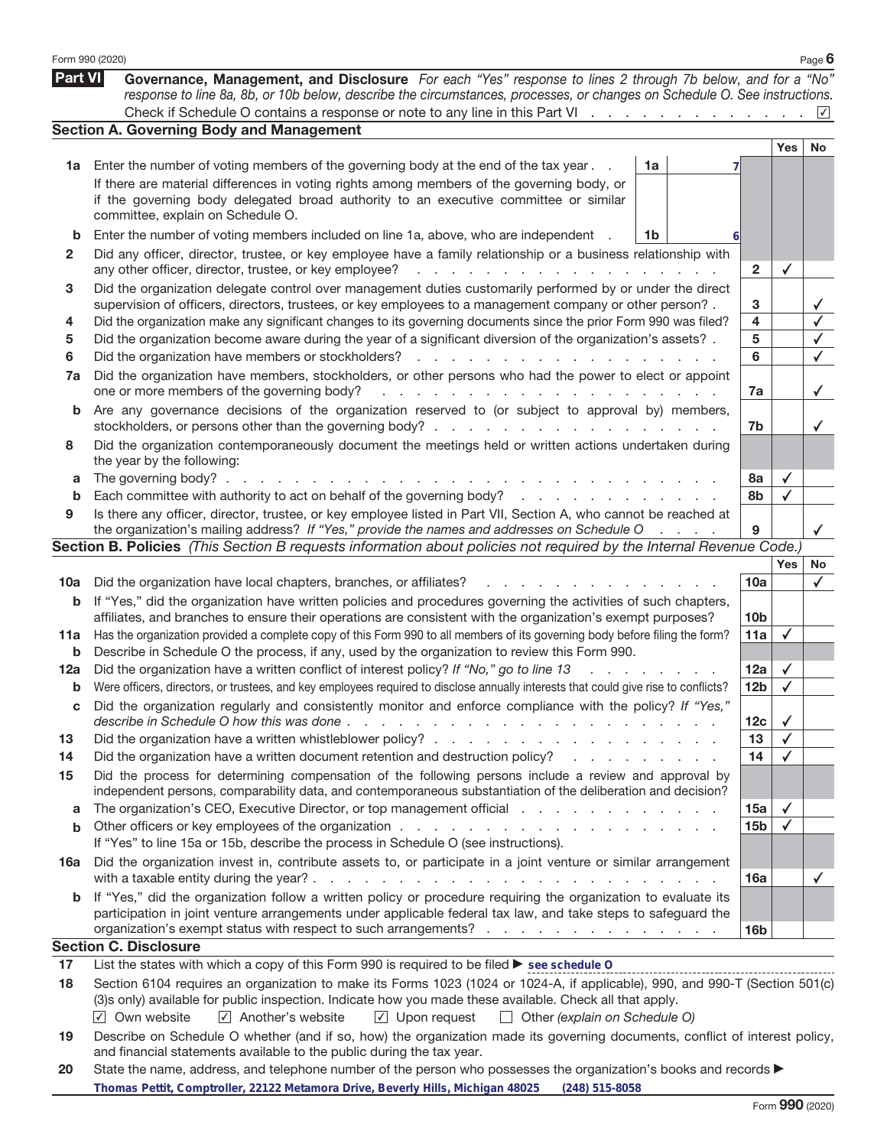|         | Form 990 (2020)                                                                                                                                                                                                                          |                 |              | Page $6$             |
|---------|------------------------------------------------------------------------------------------------------------------------------------------------------------------------------------------------------------------------------------------|-----------------|--------------|----------------------|
| Part VI | Governance, Management, and Disclosure For each "Yes" response to lines 2 through 7b below, and for a "No"<br>response to line 8a, 8b, or 10b below, describe the circumstances, processes, or changes on Schedule O. See instructions.  |                 |              |                      |
|         | Check if Schedule O contains a response or note to any line in this Part VI                                                                                                                                                              |                 |              | $\vert \sqrt{\vert}$ |
|         | <b>Section A. Governing Body and Management</b>                                                                                                                                                                                          |                 |              |                      |
|         |                                                                                                                                                                                                                                          |                 | Yes          | No                   |
| 1a      | Enter the number of voting members of the governing body at the end of the tax year.<br>1a                                                                                                                                               |                 |              |                      |
|         | If there are material differences in voting rights among members of the governing body, or                                                                                                                                               |                 |              |                      |
|         | if the governing body delegated broad authority to an executive committee or similar                                                                                                                                                     |                 |              |                      |
|         | committee, explain on Schedule O.                                                                                                                                                                                                        |                 |              |                      |
| b       | Enter the number of voting members included on line 1a, above, who are independent<br>1b                                                                                                                                                 |                 |              |                      |
| 2       | Did any officer, director, trustee, or key employee have a family relationship or a business relationship with<br>any other officer, director, trustee, or key employee?<br>design and a state of the state                              | $\mathbf{2}$    | ✓            |                      |
| 3       | Did the organization delegate control over management duties customarily performed by or under the direct                                                                                                                                |                 |              |                      |
|         | supervision of officers, directors, trustees, or key employees to a management company or other person?.                                                                                                                                 | 3               |              | ✓                    |
| 4       | Did the organization make any significant changes to its governing documents since the prior Form 990 was filed?                                                                                                                         | 4               |              | $\checkmark$         |
| 5       | Did the organization become aware during the year of a significant diversion of the organization's assets?.                                                                                                                              | 5               |              | $\checkmark$         |
| 6       | Did the organization have members or stockholders?<br>and a state                                                                                                                                                                        | 6               |              | $\checkmark$         |
| 7a      | Did the organization have members, stockholders, or other persons who had the power to elect or appoint                                                                                                                                  |                 |              |                      |
|         | one or more members of the governing body?<br>a carrier and a carrier and a carrier and a                                                                                                                                                | 7a              |              | $\checkmark$         |
| b       | Are any governance decisions of the organization reserved to (or subject to approval by) members,                                                                                                                                        |                 |              |                      |
|         |                                                                                                                                                                                                                                          | 7b              |              | $\checkmark$         |
| 8       | Did the organization contemporaneously document the meetings held or written actions undertaken during<br>the year by the following:                                                                                                     |                 |              |                      |
| a       | The governing body? $\ldots$                                                                                                                                                                                                             | 8а              | ✓            |                      |
| b       | Each committee with authority to act on behalf of the governing body?                                                                                                                                                                    | 8b              | ✓            |                      |
| 9       | Is there any officer, director, trustee, or key employee listed in Part VII, Section A, who cannot be reached at                                                                                                                         |                 |              |                      |
|         | the organization's mailing address? If "Yes," provide the names and addresses on Schedule O<br>$\mathcal{L}=\mathcal{L}=\mathcal{L}=\mathcal{L}$                                                                                         | 9               |              |                      |
|         | Section B. Policies (This Section B requests information about policies not required by the Internal Revenue Code.)                                                                                                                      |                 |              |                      |
|         |                                                                                                                                                                                                                                          |                 | <b>Yes</b>   | No                   |
| 10a     | Did the organization have local chapters, branches, or affiliates?                                                                                                                                                                       | 10a             |              | ✓                    |
| b       | If "Yes," did the organization have written policies and procedures governing the activities of such chapters,<br>affiliates, and branches to ensure their operations are consistent with the organization's exempt purposes?            | 10 <sub>b</sub> |              |                      |
| 11a     | Has the organization provided a complete copy of this Form 990 to all members of its governing body before filing the form?                                                                                                              | 11a             | ✓            |                      |
| b       | Describe in Schedule O the process, if any, used by the organization to review this Form 990.                                                                                                                                            |                 |              |                      |
| 12a     | Did the organization have a written conflict of interest policy? If "No," go to line 13                                                                                                                                                  | 12a             | ✓            |                      |
| b       | Were officers, directors, or trustees, and key employees required to disclose annually interests that could give rise to conflicts?                                                                                                      | 12 <sub>b</sub> | ✓            |                      |
| с       | Did the organization regularly and consistently monitor and enforce compliance with the policy? If "Yes,                                                                                                                                 |                 |              |                      |
|         | describe in Schedule O how this was done $\cdots$ , $\cdots$ , $\cdots$ , $\cdots$ , $\cdots$ , $\cdots$ , $\cdots$ , $\cdots$ , $\cdots$                                                                                                | 12 <sub>c</sub> | $\checkmark$ |                      |
| 13      |                                                                                                                                                                                                                                          | 13              | ✓            |                      |
| 14      | Did the organization have a written document retention and destruction policy?<br>the contract of the contract of the                                                                                                                    | 14              | √            |                      |
| 15      | Did the process for determining compensation of the following persons include a review and approval by                                                                                                                                   |                 |              |                      |
|         | independent persons, comparability data, and contemporaneous substantiation of the deliberation and decision?                                                                                                                            |                 |              |                      |
| a       | The organization's CEO, Executive Director, or top management official                                                                                                                                                                   | 15a             | $\checkmark$ |                      |
| b       |                                                                                                                                                                                                                                          | 15 <sub>b</sub> | ✓            |                      |
|         | If "Yes" to line 15a or 15b, describe the process in Schedule O (see instructions).                                                                                                                                                      |                 |              |                      |
| 16a     | Did the organization invest in, contribute assets to, or participate in a joint venture or similar arrangement                                                                                                                           | 16a             |              | $\checkmark$         |
| b       | If "Yes," did the organization follow a written policy or procedure requiring the organization to evaluate its                                                                                                                           |                 |              |                      |
|         | participation in joint venture arrangements under applicable federal tax law, and take steps to safeguard the                                                                                                                            |                 |              |                      |
|         | organization's exempt status with respect to such arrangements?                                                                                                                                                                          | 16 <sub>b</sub> |              |                      |
|         | <b>Section C. Disclosure</b>                                                                                                                                                                                                             |                 |              |                      |
| 17      | List the states with which a copy of this Form 990 is required to be filed ► see schedule O                                                                                                                                              |                 |              |                      |
| 18      | Section 6104 requires an organization to make its Forms 1023 (1024 or 1024-A, if applicable), 990, and 990-T (Section 501(c)<br>(3)s only) available for public inspection. Indicate how you made these available. Check all that apply. |                 |              |                      |
|         | $\sqrt{ }$ Own website<br>$\sqrt{}$ Another's website<br>$\sqrt{ }$ Upon request<br>$\Box$ Other (explain on Schedule O)                                                                                                                 |                 |              |                      |
| 19      | Describe on Schedule O whether (and if so, how) the organization made its governing documents, conflict of interest policy,                                                                                                              |                 |              |                      |
|         | and financial statements available to the public during the tax year.                                                                                                                                                                    |                 |              |                      |

| 20 State the name, address, and telephone number of the person who possesses the organization's books and records |  |
|-------------------------------------------------------------------------------------------------------------------|--|
| Thomas Pettit, Comptroller, 22122 Metamora Drive, Beverly Hills, Michigan 48025 (248) 515-8058                    |  |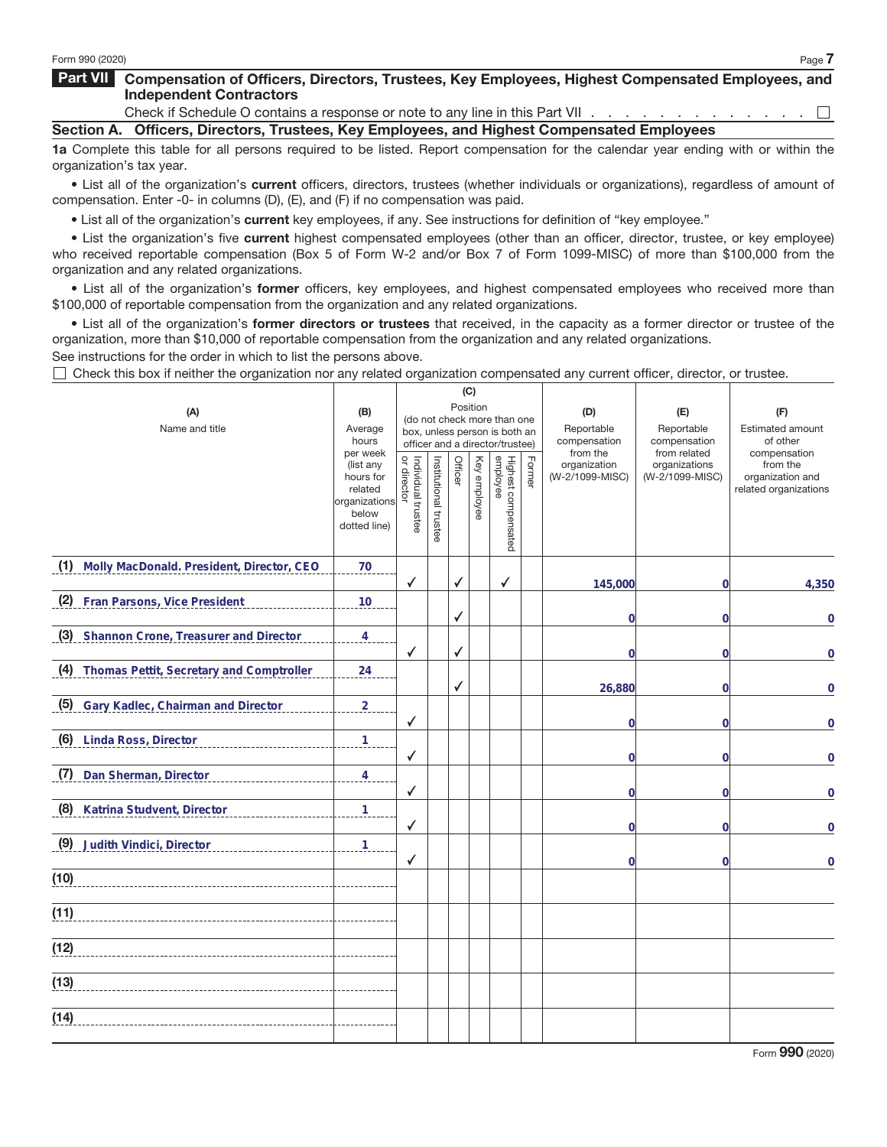## **Part VII Compensation of Officers, Directors, Trustees, Key Employees, Highest Compensated Employees, and Independent Contractors**

Check if Schedule O contains a response or note to any line in this Part VII . . .  $\Box$ **Section A. Officers, Directors, Trustees, Key Employees, and Highest Compensated Employees**

**1a** Complete this table for all persons required to be listed. Report compensation for the calendar year ending with or within the organization's tax year.

• List all of the organization's **current** officers, directors, trustees (whether individuals or organizations), regardless of amount of compensation. Enter -0- in columns (D), (E), and (F) if no compensation was paid.

• List all of the organization's **current** key employees, if any. See instructions for definition of "key employee."

• List the organization's five **current** highest compensated employees (other than an officer, director, trustee, or key employee) who received reportable compensation (Box 5 of Form W-2 and/or Box 7 of Form 1099-MISC) of more than \$100,000 from the organization and any related organizations.

• List all of the organization's **former** officers, key employees, and highest compensated employees who received more than \$100,000 of reportable compensation from the organization and any related organizations.

• List all of the organization's **former directors or trustees** that received, in the capacity as a former director or trustee of the organization, more than \$10,000 of reportable compensation from the organization and any related organizations.

See instructions for the order in which to list the persons above.

 $\Box$  Check this box if neither the organization nor any related organization compensated any current officer, director, or trustee.

|                                               |                      |                                   | (C)                   |                                                              |              |                                 |        |                          |                              |                                           |
|-----------------------------------------------|----------------------|-----------------------------------|-----------------------|--------------------------------------------------------------|--------------|---------------------------------|--------|--------------------------|------------------------------|-------------------------------------------|
| (A)                                           | (B)                  |                                   |                       |                                                              | Position     |                                 |        | (D)                      | (E)                          | (F)                                       |
| Name and title                                | Average              |                                   |                       | (do not check more than one<br>box, unless person is both an |              |                                 |        | Reportable               | Reportable                   | <b>Estimated amount</b>                   |
|                                               | hours<br>per week    |                                   |                       |                                                              |              | officer and a director/trustee) |        | compensation<br>from the | compensation<br>from related | of other<br>compensation                  |
|                                               | (list any            | Individual trustee<br>or director | Institutional trustee | Officer                                                      | Key employee |                                 | Former | organization             | organizations                | from the                                  |
|                                               | hours for<br>related |                                   |                       |                                                              |              |                                 |        | (W-2/1099-MISC)          | (W-2/1099-MISC)              | organization and<br>related organizations |
|                                               | organizations        |                                   |                       |                                                              |              |                                 |        |                          |                              |                                           |
|                                               | below                |                                   |                       |                                                              |              |                                 |        |                          |                              |                                           |
|                                               | dotted line)         |                                   |                       |                                                              |              | Highest compensated<br>employee |        |                          |                              |                                           |
| (1) Molly MacDonald. President, Director, CEO | 70                   |                                   |                       |                                                              |              |                                 |        |                          |                              |                                           |
|                                               |                      | ✓                                 |                       | ✓                                                            |              | ✓                               |        | 145,000                  | 0l                           | 4,350                                     |
| (2) Fran Parsons, Vice President              | 10                   |                                   |                       |                                                              |              |                                 |        |                          |                              |                                           |
|                                               |                      |                                   |                       | ✓                                                            |              |                                 |        | $\overline{0}$           | $\overline{0}$               | $\overline{0}$                            |
| (3) Shannon Crone, Treasurer and Director     | $\overline{4}$       |                                   |                       |                                                              |              |                                 |        |                          |                              |                                           |
|                                               |                      | ✓                                 |                       | ✓                                                            |              |                                 |        | $\overline{0}$           | $\overline{0}$               | $\mathbf 0$                               |
| (4) Thomas Pettit, Secretary and Comptroller  | 24                   |                                   |                       |                                                              |              |                                 |        |                          |                              |                                           |
|                                               |                      |                                   |                       | √                                                            |              |                                 |        | 26,880                   | $\overline{0}$               | $\overline{0}$                            |
| (5) Gary Kadlec, Chairman and Director        | $\frac{2}{2}$        | ✓                                 |                       |                                                              |              |                                 |        | $\Omega$                 |                              |                                           |
| (6) Linda Ross, Director                      | 1                    |                                   |                       |                                                              |              |                                 |        |                          | $\overline{0}$               | $\mathbf 0$                               |
|                                               |                      | ✓                                 |                       |                                                              |              |                                 |        | $\overline{0}$           | $\overline{0}$               | $\mathbf 0$                               |
| (7)<br>Dan Sherman, Director                  | 4                    |                                   |                       |                                                              |              |                                 |        |                          |                              |                                           |
|                                               |                      | ✓                                 |                       |                                                              |              |                                 |        | $\Omega$                 | $\overline{0}$               | $\overline{0}$                            |
| (8) Katrina Studvent, Director                | 1                    |                                   |                       |                                                              |              |                                 |        |                          |                              |                                           |
|                                               |                      | ✓                                 |                       |                                                              |              |                                 |        | $\overline{0}$           | $\overline{0}$               | $\mathbf 0$                               |
| (9) Judith Vindici, Director                  | $\mathbf{1}$         |                                   |                       |                                                              |              |                                 |        |                          |                              |                                           |
|                                               |                      | ✓                                 |                       |                                                              |              |                                 |        | $\overline{0}$           | $\overline{0}$               | $\overline{0}$                            |
| (10)                                          |                      |                                   |                       |                                                              |              |                                 |        |                          |                              |                                           |
|                                               |                      |                                   |                       |                                                              |              |                                 |        |                          |                              |                                           |
| (11)                                          |                      |                                   |                       |                                                              |              |                                 |        |                          |                              |                                           |
| (12)                                          |                      |                                   |                       |                                                              |              |                                 |        |                          |                              |                                           |
|                                               |                      |                                   |                       |                                                              |              |                                 |        |                          |                              |                                           |
| (13)                                          |                      |                                   |                       |                                                              |              |                                 |        |                          |                              |                                           |
|                                               |                      |                                   |                       |                                                              |              |                                 |        |                          |                              |                                           |
| (14)                                          |                      |                                   |                       |                                                              |              |                                 |        |                          |                              |                                           |
|                                               |                      |                                   |                       |                                                              |              |                                 |        |                          |                              |                                           |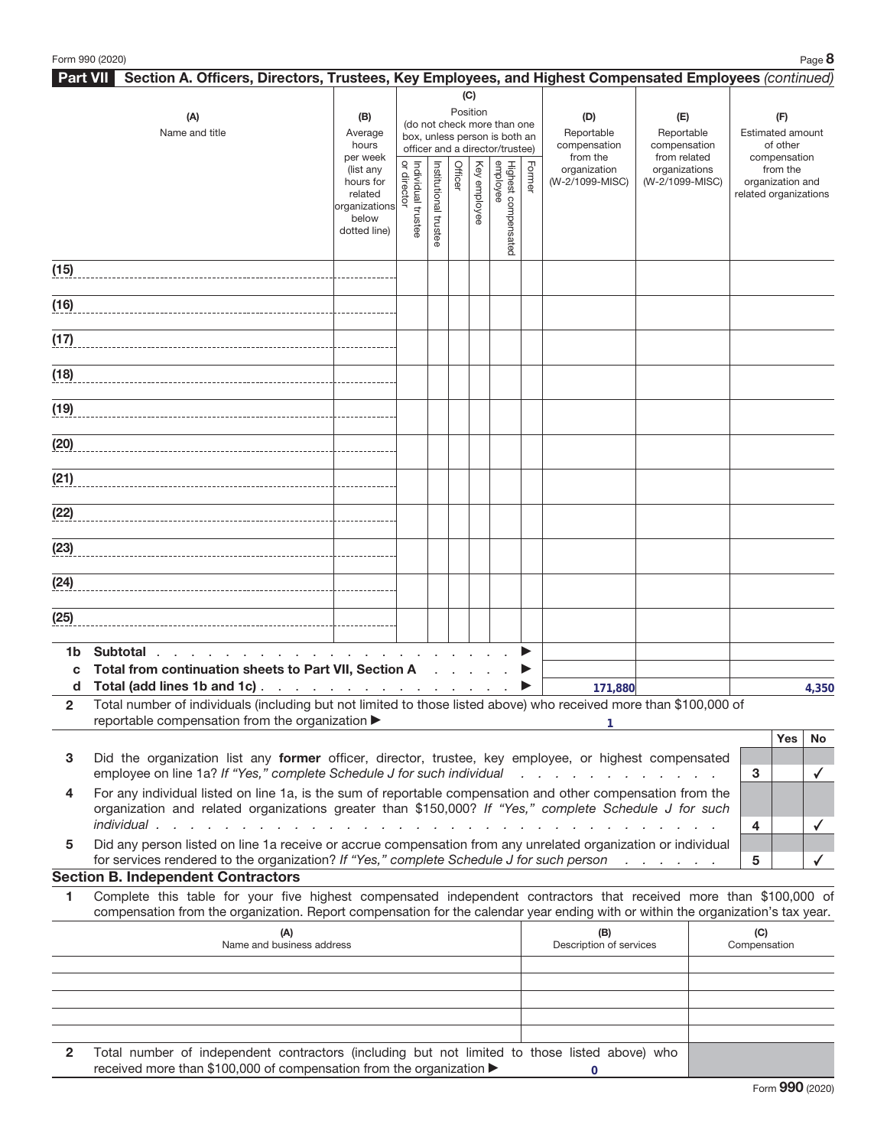|              | Section A. Officers, Directors, Trustees, Key Employees, and Highest Compensated Employees (continued)<br><b>Part VII</b>                                                       |                       |                    |                |         |              |                                 |                             |                                         |                              |              |                                           |  |     |     |  |     |
|--------------|---------------------------------------------------------------------------------------------------------------------------------------------------------------------------------|-----------------------|--------------------|----------------|---------|--------------|---------------------------------|-----------------------------|-----------------------------------------|------------------------------|--------------|-------------------------------------------|--|-----|-----|--|-----|
|              |                                                                                                                                                                                 |                       |                    |                |         | (C)          |                                 |                             |                                         |                              |              |                                           |  |     |     |  |     |
|              | (A)                                                                                                                                                                             | (B)                   | Position           |                |         |              |                                 | (do not check more than one |                                         |                              |              |                                           |  | (D) | (E) |  | (F) |
|              | Name and title                                                                                                                                                                  | Average               |                    |                |         |              | box, unless person is both an   |                             | Reportable                              | Reportable                   |              | Estimated amount                          |  |     |     |  |     |
|              |                                                                                                                                                                                 | hours<br>per week     |                    |                |         |              | officer and a director/trustee) |                             | compensation<br>from the                | compensation<br>from related |              | of other<br>compensation                  |  |     |     |  |     |
|              |                                                                                                                                                                                 | (list any             |                    |                | Officer |              |                                 | Former                      | organization                            | organizations                |              | from the                                  |  |     |     |  |     |
|              |                                                                                                                                                                                 | hours for<br>related  | or director        | Institutional  |         |              |                                 |                             | (W-2/1099-MISC)                         | (W-2/1099-MISC)              |              | organization and<br>related organizations |  |     |     |  |     |
|              |                                                                                                                                                                                 | organizations         |                    |                |         | Key employee |                                 |                             |                                         |                              |              |                                           |  |     |     |  |     |
|              |                                                                                                                                                                                 | below<br>dotted line) | Individual trustee | <b>trustee</b> |         |              |                                 |                             |                                         |                              |              |                                           |  |     |     |  |     |
|              |                                                                                                                                                                                 |                       |                    |                |         |              | Highest compensated<br>employee |                             |                                         |                              |              |                                           |  |     |     |  |     |
| (15)         |                                                                                                                                                                                 |                       |                    |                |         |              |                                 |                             |                                         |                              |              |                                           |  |     |     |  |     |
|              |                                                                                                                                                                                 |                       |                    |                |         |              |                                 |                             |                                         |                              |              |                                           |  |     |     |  |     |
| (16)         |                                                                                                                                                                                 |                       |                    |                |         |              |                                 |                             |                                         |                              |              |                                           |  |     |     |  |     |
|              |                                                                                                                                                                                 |                       |                    |                |         |              |                                 |                             |                                         |                              |              |                                           |  |     |     |  |     |
| (17)         |                                                                                                                                                                                 |                       |                    |                |         |              |                                 |                             |                                         |                              |              |                                           |  |     |     |  |     |
|              |                                                                                                                                                                                 |                       |                    |                |         |              |                                 |                             |                                         |                              |              |                                           |  |     |     |  |     |
| (18)         |                                                                                                                                                                                 |                       |                    |                |         |              |                                 |                             |                                         |                              |              |                                           |  |     |     |  |     |
|              |                                                                                                                                                                                 |                       |                    |                |         |              |                                 |                             |                                         |                              |              |                                           |  |     |     |  |     |
|              | (19)                                                                                                                                                                            |                       |                    |                |         |              |                                 |                             |                                         |                              |              |                                           |  |     |     |  |     |
|              |                                                                                                                                                                                 |                       |                    |                |         |              |                                 |                             |                                         |                              |              |                                           |  |     |     |  |     |
|              | (20)                                                                                                                                                                            |                       |                    |                |         |              |                                 |                             |                                         |                              |              |                                           |  |     |     |  |     |
|              |                                                                                                                                                                                 |                       |                    |                |         |              |                                 |                             |                                         |                              |              |                                           |  |     |     |  |     |
| (21)         |                                                                                                                                                                                 |                       |                    |                |         |              |                                 |                             |                                         |                              |              |                                           |  |     |     |  |     |
|              | (22)                                                                                                                                                                            |                       |                    |                |         |              |                                 |                             |                                         |                              |              |                                           |  |     |     |  |     |
|              |                                                                                                                                                                                 |                       |                    |                |         |              |                                 |                             |                                         |                              |              |                                           |  |     |     |  |     |
| (23)         |                                                                                                                                                                                 |                       |                    |                |         |              |                                 |                             |                                         |                              |              |                                           |  |     |     |  |     |
|              |                                                                                                                                                                                 |                       |                    |                |         |              |                                 |                             |                                         |                              |              |                                           |  |     |     |  |     |
| (24)         |                                                                                                                                                                                 |                       |                    |                |         |              |                                 |                             |                                         |                              |              |                                           |  |     |     |  |     |
|              |                                                                                                                                                                                 |                       |                    |                |         |              |                                 |                             |                                         |                              |              |                                           |  |     |     |  |     |
| (25)         |                                                                                                                                                                                 |                       |                    |                |         |              |                                 |                             |                                         |                              |              |                                           |  |     |     |  |     |
|              |                                                                                                                                                                                 |                       |                    |                |         |              |                                 |                             |                                         |                              |              |                                           |  |     |     |  |     |
| 1b           | Subtotal                                                                                                                                                                        |                       |                    |                |         |              |                                 |                             |                                         |                              |              |                                           |  |     |     |  |     |
| C            | Total from continuation sheets to Part VII, Section A                                                                                                                           |                       |                    |                |         |              |                                 |                             |                                         |                              |              |                                           |  |     |     |  |     |
| d            | Total (add lines 1b and 1c)                                                                                                                                                     |                       |                    |                |         |              |                                 |                             | 171,880                                 |                              |              | 4,350                                     |  |     |     |  |     |
| $\mathbf{2}$ | Total number of individuals (including but not limited to those listed above) who received more than \$100,000 of                                                               |                       |                    |                |         |              |                                 |                             |                                         |                              |              |                                           |  |     |     |  |     |
|              | reportable compensation from the organization ▶                                                                                                                                 |                       |                    |                |         |              |                                 |                             |                                         |                              |              | Yes<br>No                                 |  |     |     |  |     |
|              |                                                                                                                                                                                 |                       |                    |                |         |              |                                 |                             |                                         |                              |              |                                           |  |     |     |  |     |
| 3            | Did the organization list any former officer, director, trustee, key employee, or highest compensated<br>employee on line 1a? If "Yes," complete Schedule J for such individual |                       |                    |                |         |              |                                 |                             | and the contract of the contract of the |                              | 3            | ✓                                         |  |     |     |  |     |
| 4            | For any individual listed on line 1a, is the sum of reportable compensation and other compensation from the                                                                     |                       |                    |                |         |              |                                 |                             |                                         |                              |              |                                           |  |     |     |  |     |
|              | organization and related organizations greater than \$150,000? If "Yes," complete Schedule J for such                                                                           |                       |                    |                |         |              |                                 |                             |                                         |                              |              |                                           |  |     |     |  |     |
|              | individual                                                                                                                                                                      |                       |                    |                |         |              |                                 |                             | the contract of the contract of the     |                              | 4            |                                           |  |     |     |  |     |
| 5            | Did any person listed on line 1a receive or accrue compensation from any unrelated organization or individual                                                                   |                       |                    |                |         |              |                                 |                             |                                         |                              |              |                                           |  |     |     |  |     |
|              | for services rendered to the organization? If "Yes," complete Schedule J for such person                                                                                        |                       |                    |                |         |              |                                 |                             |                                         |                              | 5            |                                           |  |     |     |  |     |
|              | <b>Section B. Independent Contractors</b>                                                                                                                                       |                       |                    |                |         |              |                                 |                             |                                         |                              |              |                                           |  |     |     |  |     |
| 1            | Complete this table for your five highest compensated independent contractors that received more than \$100,000 of                                                              |                       |                    |                |         |              |                                 |                             |                                         |                              |              |                                           |  |     |     |  |     |
|              | compensation from the organization. Report compensation for the calendar year ending with or within the organization's tax year.                                                |                       |                    |                |         |              |                                 |                             |                                         |                              |              |                                           |  |     |     |  |     |
|              | (A)<br>Name and business address                                                                                                                                                |                       |                    |                |         |              |                                 |                             | (B)                                     |                              | (C)          |                                           |  |     |     |  |     |
|              |                                                                                                                                                                                 |                       |                    |                |         |              |                                 |                             | Description of services                 |                              | Compensation |                                           |  |     |     |  |     |
|              |                                                                                                                                                                                 |                       |                    |                |         |              |                                 |                             |                                         |                              |              |                                           |  |     |     |  |     |
|              |                                                                                                                                                                                 |                       |                    |                |         |              |                                 |                             |                                         |                              |              |                                           |  |     |     |  |     |
|              |                                                                                                                                                                                 |                       |                    |                |         |              |                                 |                             |                                         |                              |              |                                           |  |     |     |  |     |
|              |                                                                                                                                                                                 |                       |                    |                |         |              |                                 |                             |                                         |                              |              |                                           |  |     |     |  |     |

**2** Total number of independent contractors (including but not limited to those listed above) who received more than \$100,000 of compensation from the organization  $\blacktriangleright$ **0**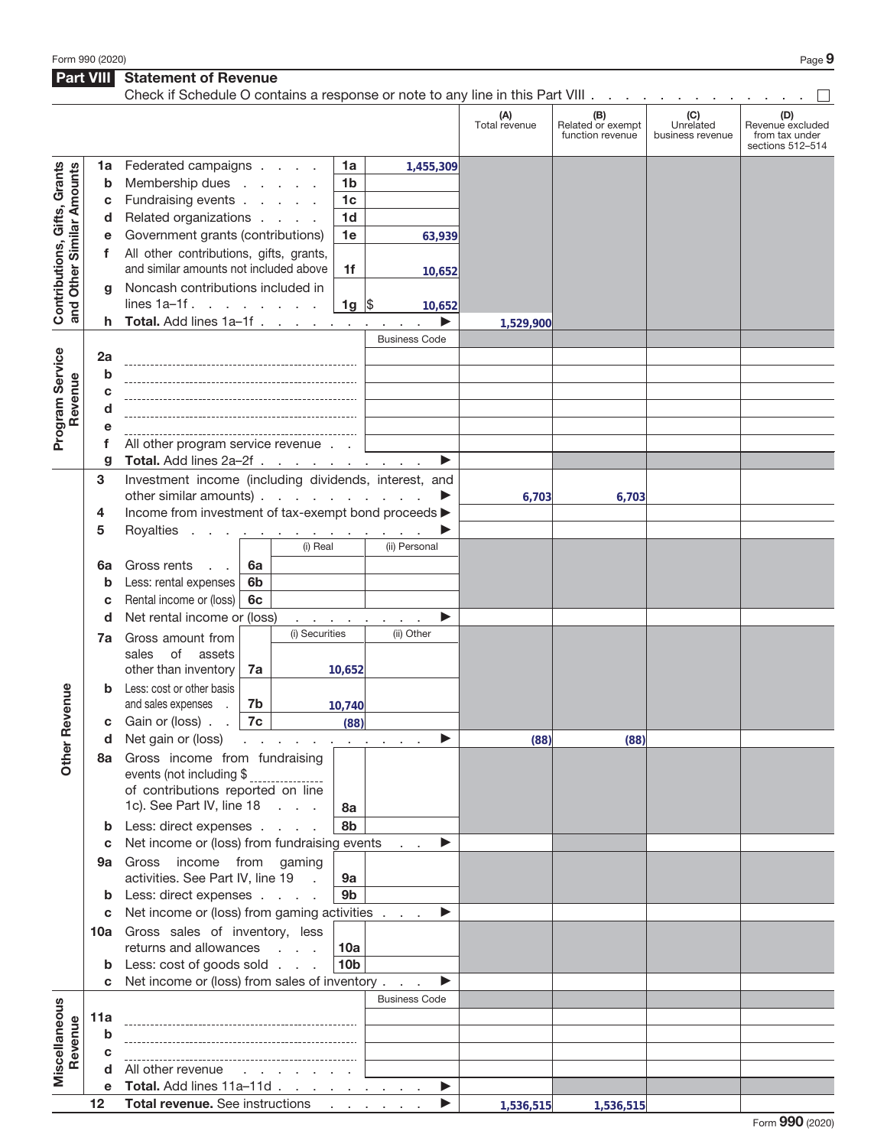**Part VIII Statement of Revenue** 

|                                                           |        | Check if Schedule O contains a response or note to any line in this Part VIII     |                |                                 |                      |                                          |                      |                                              |                                      |                                                               |
|-----------------------------------------------------------|--------|-----------------------------------------------------------------------------------|----------------|---------------------------------|----------------------|------------------------------------------|----------------------|----------------------------------------------|--------------------------------------|---------------------------------------------------------------|
|                                                           |        |                                                                                   |                |                                 |                      |                                          | (A)<br>Total revenue | (B)<br>Related or exempt<br>function revenue | (C)<br>Unrelated<br>business revenue | (D)<br>Revenue excluded<br>from tax under<br>sections 512-514 |
|                                                           | 1a     | Federated campaigns                                                               |                |                                 | 1a                   | 1,455,309                                |                      |                                              |                                      |                                                               |
| Contributions, Gifts, Grants<br>and Other Similar Amounts | b      | Membership dues                                                                   |                | <b>Contractor</b>               | 1 <sub>b</sub>       |                                          |                      |                                              |                                      |                                                               |
|                                                           | С      | Fundraising events                                                                |                |                                 | 1 <sub>c</sub>       |                                          |                      |                                              |                                      |                                                               |
|                                                           | d      | Related organizations                                                             |                |                                 | 1 <sub>d</sub>       |                                          |                      |                                              |                                      |                                                               |
|                                                           | е      | Government grants (contributions)                                                 |                |                                 | 1e                   | 63,939                                   |                      |                                              |                                      |                                                               |
|                                                           | f      | All other contributions, gifts, grants,                                           |                |                                 |                      |                                          |                      |                                              |                                      |                                                               |
|                                                           |        | and similar amounts not included above                                            |                |                                 | 1f                   | 10,652                                   |                      |                                              |                                      |                                                               |
|                                                           | g      | Noncash contributions included in                                                 |                |                                 |                      |                                          |                      |                                              |                                      |                                                               |
|                                                           |        | lines $1a-1f$ .                                                                   |                |                                 | $1g \,$ \$           | 10,652                                   |                      |                                              |                                      |                                                               |
|                                                           | h      | Total. Add lines 1a-1f                                                            |                |                                 |                      |                                          | 1,529,900            |                                              |                                      |                                                               |
|                                                           |        |                                                                                   |                |                                 |                      | <b>Business Code</b>                     |                      |                                              |                                      |                                                               |
|                                                           | 2a     |                                                                                   |                |                                 |                      |                                          |                      |                                              |                                      |                                                               |
|                                                           | b      |                                                                                   |                |                                 |                      |                                          |                      |                                              |                                      |                                                               |
|                                                           | c      |                                                                                   |                |                                 |                      |                                          |                      |                                              |                                      |                                                               |
| Revenue                                                   | d      |                                                                                   |                |                                 |                      |                                          |                      |                                              |                                      |                                                               |
| Program Service                                           | е      |                                                                                   |                |                                 |                      |                                          |                      |                                              |                                      |                                                               |
|                                                           | f<br>g | All other program service revenue<br>Total. Add lines 2a-2f                       |                |                                 |                      | ▶                                        |                      |                                              |                                      |                                                               |
|                                                           | 3      | Investment income (including dividends, interest, and                             |                |                                 |                      |                                          |                      |                                              |                                      |                                                               |
|                                                           |        | other similar amounts) $\ldots$ $\ldots$ $\ldots$                                 |                |                                 |                      |                                          | 6,703                | 6,703                                        |                                      |                                                               |
|                                                           | 4      | Income from investment of tax-exempt bond proceeds >                              |                |                                 |                      |                                          |                      |                                              |                                      |                                                               |
|                                                           | 5      | Royalties                                                                         |                | and a series and a series and a |                      |                                          |                      |                                              |                                      |                                                               |
|                                                           |        |                                                                                   |                | (i) Real                        |                      | (ii) Personal                            |                      |                                              |                                      |                                                               |
|                                                           | 6a     | Gross rents<br>$\sim$ $\sim$                                                      | 6a             |                                 |                      |                                          |                      |                                              |                                      |                                                               |
|                                                           | b      | Less: rental expenses                                                             | 6 <sub>b</sub> |                                 |                      |                                          |                      |                                              |                                      |                                                               |
|                                                           | c      | Rental income or (loss)                                                           | 6c             |                                 |                      |                                          |                      |                                              |                                      |                                                               |
|                                                           | d      | Net rental income or (loss)                                                       |                |                                 | <b>All Card Card</b> | ▶                                        |                      |                                              |                                      |                                                               |
|                                                           | 7a     | Gross amount from                                                                 |                | (i) Securities                  |                      | (ii) Other                               |                      |                                              |                                      |                                                               |
|                                                           |        | sales<br>of<br>assets                                                             |                |                                 |                      |                                          |                      |                                              |                                      |                                                               |
|                                                           |        | other than inventory                                                              | 7a             |                                 | 10,652               |                                          |                      |                                              |                                      |                                                               |
| Revenue                                                   |        | Less: cost or other basis<br>and sales expenses                                   | 7b             |                                 |                      |                                          |                      |                                              |                                      |                                                               |
|                                                           | С      | Gain or (loss).                                                                   | 7c             |                                 | 10,740<br>(88)       |                                          |                      |                                              |                                      |                                                               |
|                                                           | d      | Net gain or (loss)                                                                |                |                                 |                      | the contract of the contract of the con- | (88)                 | (88)                                         |                                      |                                                               |
| <b>Other</b>                                              | 8a     | Gross income from fundraising                                                     |                |                                 |                      |                                          |                      |                                              |                                      |                                                               |
|                                                           |        | events (not including \$                                                          |                | ----------------                |                      |                                          |                      |                                              |                                      |                                                               |
|                                                           |        | of contributions reported on line                                                 |                |                                 |                      |                                          |                      |                                              |                                      |                                                               |
|                                                           |        | 1c). See Part IV, line 18                                                         |                |                                 | 8a                   |                                          |                      |                                              |                                      |                                                               |
|                                                           | b      | Less: direct expenses                                                             |                |                                 | 8b                   |                                          |                      |                                              |                                      |                                                               |
|                                                           | c      | Net income or (loss) from fundraising events                                      |                |                                 |                      | ▶                                        |                      |                                              |                                      |                                                               |
|                                                           | 9а     | Gross income from gaming                                                          |                |                                 |                      |                                          |                      |                                              |                                      |                                                               |
|                                                           |        | activities. See Part IV, line 19                                                  |                | $\sim 10$                       | 9а                   |                                          |                      |                                              |                                      |                                                               |
|                                                           | b      | Less: direct expenses                                                             |                |                                 | 9 <sub>b</sub>       |                                          |                      |                                              |                                      |                                                               |
|                                                           | c      | Net income or (loss) from gaming activities<br>10a Gross sales of inventory, less |                |                                 |                      | ▶                                        |                      |                                              |                                      |                                                               |
|                                                           |        | returns and allowances                                                            |                |                                 | 10a                  |                                          |                      |                                              |                                      |                                                               |
|                                                           | b      | Less: cost of goods sold                                                          |                |                                 | 10 <sub>b</sub>      |                                          |                      |                                              |                                      |                                                               |
|                                                           | C      | Net income or (loss) from sales of inventory                                      |                |                                 |                      | ▶                                        |                      |                                              |                                      |                                                               |
|                                                           |        |                                                                                   |                |                                 |                      | <b>Business Code</b>                     |                      |                                              |                                      |                                                               |
| Miscellaneous                                             | 11a    |                                                                                   |                |                                 |                      |                                          |                      |                                              |                                      |                                                               |
| Revenue                                                   | b      |                                                                                   |                |                                 |                      |                                          |                      |                                              |                                      |                                                               |
|                                                           | C      |                                                                                   |                |                                 |                      |                                          |                      |                                              |                                      |                                                               |
|                                                           | d      | All other revenue                                                                 |                | the company of the company of   |                      |                                          |                      |                                              |                                      |                                                               |
|                                                           | е      | Total. Add lines 11a-11d                                                          |                |                                 |                      | ▶                                        |                      |                                              |                                      |                                                               |
|                                                           | 12     | Total revenue. See instructions                                                   |                |                                 |                      | ▶                                        | 1,536,515            | 1,536,515                                    |                                      |                                                               |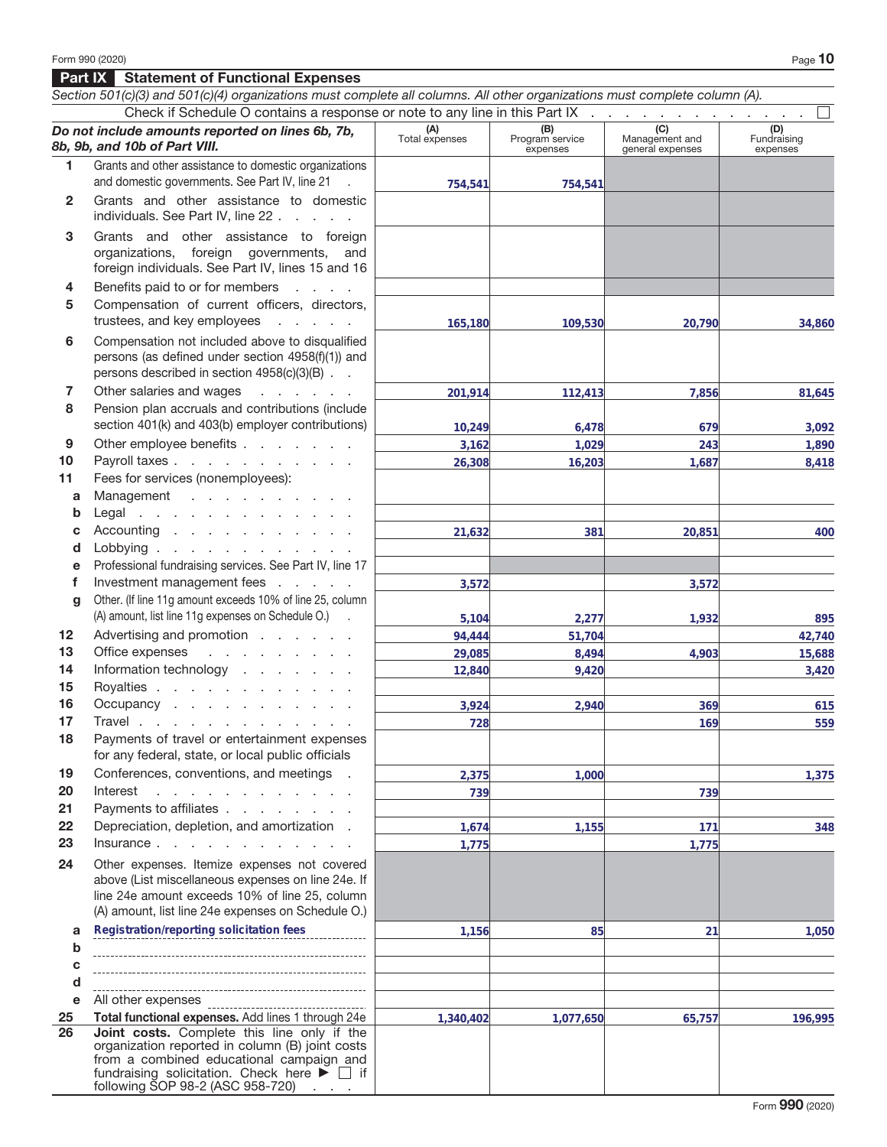## **Part IX Statement of Functional Expenses**

|                 | Section 501(c)(3) and 501(c)(4) organizations must complete all columns. All other organizations must complete column (A).                                                                                                                           |                       |                                    |                                           |                                |
|-----------------|------------------------------------------------------------------------------------------------------------------------------------------------------------------------------------------------------------------------------------------------------|-----------------------|------------------------------------|-------------------------------------------|--------------------------------|
|                 | Check if Schedule O contains a response or note to any line in this Part IX                                                                                                                                                                          |                       |                                    |                                           |                                |
|                 | Do not include amounts reported on lines 6b, 7b,<br>8b, 9b, and 10b of Part VIII.                                                                                                                                                                    | (A)<br>Total expenses | (B)<br>Program service<br>expenses | (C)<br>Management and<br>general expenses | (D)<br>Fundraising<br>expenses |
| 1.              | Grants and other assistance to domestic organizations                                                                                                                                                                                                |                       |                                    |                                           |                                |
|                 | and domestic governments. See Part IV, line 21 .                                                                                                                                                                                                     | 754,541               | 754,541                            |                                           |                                |
| $\mathbf{2}$    | Grants and other assistance to domestic<br>individuals. See Part IV, line 22                                                                                                                                                                         |                       |                                    |                                           |                                |
| 3               | Grants and other assistance to foreign<br>organizations, foreign governments, and<br>foreign individuals. See Part IV, lines 15 and 16                                                                                                               |                       |                                    |                                           |                                |
| 4               | Benefits paid to or for members                                                                                                                                                                                                                      |                       |                                    |                                           |                                |
| 5               | Compensation of current officers, directors,<br>trustees, and key employees                                                                                                                                                                          | 165,180               | 109,530                            | 20,790                                    | 34,860                         |
| 6               | Compensation not included above to disqualified<br>persons (as defined under section 4958(f)(1)) and<br>persons described in section 4958(c)(3)(B)                                                                                                   |                       |                                    |                                           |                                |
| 7               | Other salaries and wages<br>and the company of the                                                                                                                                                                                                   | 201,914               | 112,413                            | 7,856                                     | 81,645                         |
| 8               | Pension plan accruals and contributions (include                                                                                                                                                                                                     |                       |                                    |                                           |                                |
|                 | section 401(k) and 403(b) employer contributions)                                                                                                                                                                                                    | 10,249                | 6,478                              | 679                                       | 3,092                          |
| 9               | Other employee benefits                                                                                                                                                                                                                              | 3,162                 | 1,029                              | 243                                       | 1,890                          |
| 10              | Payroll taxes                                                                                                                                                                                                                                        | 26,308                | 16,203                             | 1,687                                     | 8,418                          |
| 11              | Fees for services (nonemployees):                                                                                                                                                                                                                    |                       |                                    |                                           |                                |
| a               | Management                                                                                                                                                                                                                                           |                       |                                    |                                           |                                |
| b               | Legal                                                                                                                                                                                                                                                |                       |                                    |                                           |                                |
| C               | Accounting                                                                                                                                                                                                                                           | 21,632                | 381                                | 20,851                                    | 400                            |
| d               | Lobbying                                                                                                                                                                                                                                             |                       |                                    |                                           |                                |
| е<br>f          | Professional fundraising services. See Part IV, line 17<br>Investment management fees                                                                                                                                                                |                       |                                    |                                           |                                |
|                 | Other. (If line 11g amount exceeds 10% of line 25, column                                                                                                                                                                                            | 3,572                 |                                    | 3,572                                     |                                |
| g               | (A) amount, list line 11g expenses on Schedule O.) .                                                                                                                                                                                                 |                       |                                    | 1,932                                     |                                |
| 12 <sub>2</sub> | Advertising and promotion                                                                                                                                                                                                                            | 5,104<br>94,444       | 2,277<br>51,704                    |                                           | 895<br>42,740                  |
| 13              | Office expenses<br>and the contract of the con-                                                                                                                                                                                                      | 29,085                | 8,494                              | 4,903                                     | 15,688                         |
| 14              | Information technology                                                                                                                                                                                                                               | 12,840                | 9,420                              |                                           | 3,420                          |
| 15              | Royalties                                                                                                                                                                                                                                            |                       |                                    |                                           |                                |
| 16              | Occupancy                                                                                                                                                                                                                                            | 3,924                 | 2,940                              | 369                                       | 615                            |
| 17              | Travel                                                                                                                                                                                                                                               | 728                   |                                    | 169                                       | 559                            |
| 18              | Payments of travel or entertainment expenses<br>for any federal, state, or local public officials                                                                                                                                                    |                       |                                    |                                           |                                |
| 19              | Conferences, conventions, and meetings .                                                                                                                                                                                                             | 2,375                 | 1,000                              |                                           | 1,375                          |
| 20              | Interest<br>and the state of the state of the state of the state of the state of the state of the state of the state of the                                                                                                                          | 739                   |                                    | 739                                       |                                |
| 21              | Payments to affiliates                                                                                                                                                                                                                               |                       |                                    |                                           |                                |
| 22              | Depreciation, depletion, and amortization.                                                                                                                                                                                                           | 1,674                 | 1,155                              | 171                                       | 348                            |
| 23              | Insurance $\cdots$ $\cdots$ $\cdots$                                                                                                                                                                                                                 | 1,775                 |                                    | 1,775                                     |                                |
| 24              | Other expenses. Itemize expenses not covered<br>above (List miscellaneous expenses on line 24e. If<br>line 24e amount exceeds 10% of line 25, column<br>(A) amount, list line 24e expenses on Schedule O.)                                           |                       |                                    |                                           |                                |
| a               | Registration/reporting solicitation fees                                                                                                                                                                                                             | 1,156                 | 85                                 | 21                                        | 1,050                          |
| $\mathbf b$     |                                                                                                                                                                                                                                                      |                       |                                    |                                           |                                |
| c               |                                                                                                                                                                                                                                                      |                       |                                    |                                           |                                |
| d               |                                                                                                                                                                                                                                                      |                       |                                    |                                           |                                |
| е               | All other expenses                                                                                                                                                                                                                                   |                       |                                    |                                           |                                |
| 25              | Total functional expenses. Add lines 1 through 24e                                                                                                                                                                                                   | 1,340,402             | 1,077,650                          | 65,757                                    | 196,995                        |
| 26              | Joint costs. Complete this line only if the<br>organization reported in column (B) joint costs<br>from a combined educational campaign and<br>fundraising solicitation. Check here $\blacktriangleright \Box$ if<br>following SOP 98-2 (ASC 958-720) |                       |                                    |                                           |                                |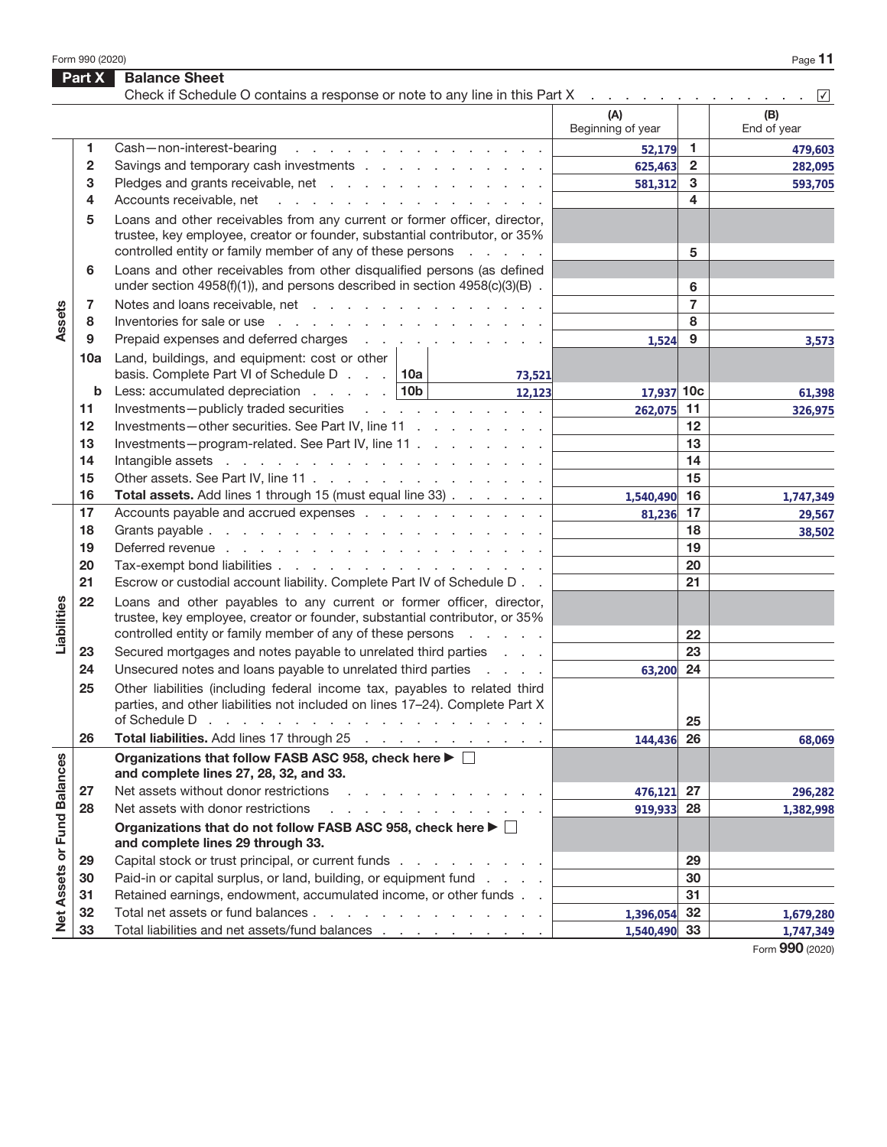Form 990 (2020) Page **11** 

|                             | Part X       | <b>Balance Sheet</b><br>Check if Schedule O contains a response or note to any line in this Part X                                                                                                                                                           |                          |                | $\sqrt{}$          |
|-----------------------------|--------------|--------------------------------------------------------------------------------------------------------------------------------------------------------------------------------------------------------------------------------------------------------------|--------------------------|----------------|--------------------|
|                             |              |                                                                                                                                                                                                                                                              | (A)<br>Beginning of year |                | (B)<br>End of year |
|                             | 1.           | Cash-non-interest-bearing<br>the contract of the contract of the contract of the contract of the contract of the contract of the contract of                                                                                                                 | 52,179                   | $\mathbf{1}$   | 479,603            |
|                             | $\mathbf{2}$ | Savings and temporary cash investments                                                                                                                                                                                                                       | 625,463                  | $\overline{2}$ | 282,095            |
|                             | 3            | Pledges and grants receivable, net                                                                                                                                                                                                                           | 581,312                  | 3              | 593,705            |
|                             | 4            | Accounts receivable, net<br>the contract of the contract of the contract of the                                                                                                                                                                              |                          | 4              |                    |
|                             | 5            | Loans and other receivables from any current or former officer, director,<br>trustee, key employee, creator or founder, substantial contributor, or 35%<br>controlled entity or family member of any of these persons                                        |                          | 5              |                    |
|                             | 6            | Loans and other receivables from other disqualified persons (as defined<br>under section $4958(f)(1)$ , and persons described in section $4958(c)(3)(B)$ .                                                                                                   |                          | 6              |                    |
|                             | 7            | Notes and loans receivable, net                                                                                                                                                                                                                              |                          | $\overline{7}$ |                    |
| Assets                      | 8            | Inventories for sale or use reader and reader and reader and reader and reader and reader and reader and reader                                                                                                                                              |                          | 8              |                    |
|                             | 9            | Prepaid expenses and deferred charges                                                                                                                                                                                                                        | 1,524                    | 9              | 3,573              |
|                             | 10a          | Land, buildings, and equipment: cost or other<br>basis. Complete Part VI of Schedule D $\ldots$ 10a<br>73,521                                                                                                                                                |                          |                |                    |
|                             | b            | Less: accumulated depreciation $\ldots$ $\ldots$ 10b<br>12,123                                                                                                                                                                                               | 17,937 10c               |                | 61,398             |
|                             | 11           | Investments-publicly traded securities                                                                                                                                                                                                                       | 262,075                  | 11             | 326,975            |
|                             | 12           | Investments-other securities. See Part IV, line 11                                                                                                                                                                                                           |                          | 12             |                    |
|                             | 13           | Investments-program-related. See Part IV, line 11                                                                                                                                                                                                            |                          | 13             |                    |
|                             | 14           |                                                                                                                                                                                                                                                              |                          | 14             |                    |
|                             | 15           | Other assets. See Part IV, line 11                                                                                                                                                                                                                           |                          | 15             |                    |
|                             | 16           | Total assets. Add lines 1 through 15 (must equal line 33)                                                                                                                                                                                                    | 1,540,490                | 16             | 1,747,349          |
|                             | 17           | Accounts payable and accrued expenses                                                                                                                                                                                                                        | 81,236                   | 17             | 29,567             |
|                             | 18           |                                                                                                                                                                                                                                                              |                          | 18             | 38,502             |
| Liabilities                 | 19           |                                                                                                                                                                                                                                                              |                          | 19             |                    |
|                             | 20           | Tax-exempt bond liabilities                                                                                                                                                                                                                                  |                          | 20             |                    |
|                             | 21           | Escrow or custodial account liability. Complete Part IV of Schedule D                                                                                                                                                                                        |                          | 21             |                    |
|                             | 22           | Loans and other payables to any current or former officer, director,<br>trustee, key employee, creator or founder, substantial contributor, or 35%                                                                                                           |                          |                |                    |
|                             |              | controlled entity or family member of any of these persons<br>and a state of                                                                                                                                                                                 |                          | 22             |                    |
|                             | 23           | Secured mortgages and notes payable to unrelated third parties                                                                                                                                                                                               |                          | 23             |                    |
|                             | 24           | Unsecured notes and loans payable to unrelated third parties                                                                                                                                                                                                 | 63,200                   | 24             |                    |
|                             | 25           | Other liabilities (including federal income tax, payables to related third<br>parties, and other liabilities not included on lines 17-24). Complete Part X<br>of Schedule D $\cdots$ $\cdots$ $\cdots$ $\cdots$ $\cdots$ $\cdots$ $\cdots$ $\cdots$ $\cdots$ |                          | 25             |                    |
|                             | 26           | Total liabilities. Add lines 17 through 25                                                                                                                                                                                                                   | 144,436                  | 26             | 68,069             |
|                             |              | Organizations that follow FASB ASC 958, check here ▶ □<br>and complete lines 27, 28, 32, and 33.                                                                                                                                                             |                          |                |                    |
|                             | 27           | Net assets without donor restrictions<br>a construction of the construction of the con-                                                                                                                                                                      | 476,121                  | 27             | 296,282            |
|                             | 28           | Net assets with donor restrictions<br>and the contract of the contract of the                                                                                                                                                                                | 919,933                  | 28             | 1,382,998          |
| Net Assets or Fund Balances |              | Organizations that do not follow FASB ASC 958, check here ▶ □<br>and complete lines 29 through 33.                                                                                                                                                           |                          |                |                    |
|                             | 29           | Capital stock or trust principal, or current funds                                                                                                                                                                                                           |                          | 29             |                    |
|                             | 30           | Paid-in or capital surplus, or land, building, or equipment fund                                                                                                                                                                                             |                          | 30             |                    |
|                             | 31           | Retained earnings, endowment, accumulated income, or other funds                                                                                                                                                                                             |                          | 31             |                    |
|                             | 32           | Total net assets or fund balances                                                                                                                                                                                                                            | 1,396,054                | 32             | 1,679,280          |
|                             | 33           | Total liabilities and net assets/fund balances                                                                                                                                                                                                               | 1,540,490                | 33             | 1,747,349          |